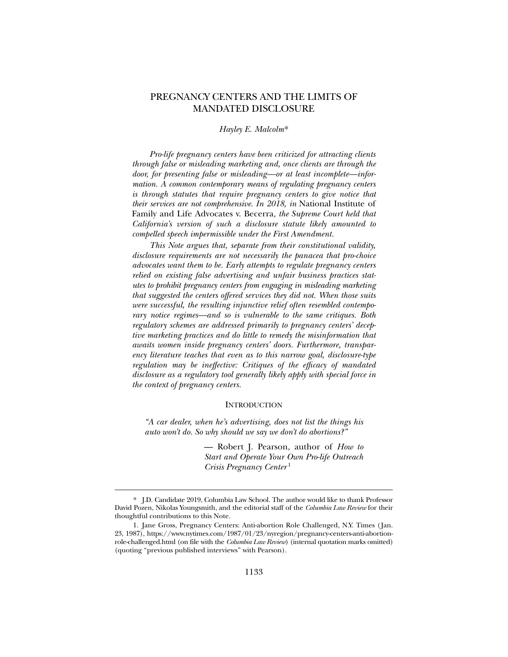# PREGNANCY CENTERS AND THE LIMITS OF MANDATED DISCLOSURE

## *Hayley E. Malcolm*\*

*Pro-life pregnancy centers have been criticized for attracting clients through false or misleading marketing and, once clients are through the door, for presenting false or misleading—or at least incomplete—information. A common contemporary means of regulating pregnancy centers is through statutes that require pregnancy centers to give notice that their services are not comprehensive. In 2018, in* National Institute of Family and Life Advocates v. Becerra*, the Supreme Court held that California's version of such a disclosure statute likely amounted to compelled speech impermissible under the First Amendment.* 

*This Note argues that, separate from their constitutional validity, disclosure requirements are not necessarily the panacea that pro-choice advocates want them to be. Early attempts to regulate pregnancy centers relied on existing false advertising and unfair business practices statutes to prohibit pregnancy centers from engaging in misleading marketing that suggested the centers offered services they did not. When those suits were successful, the resulting injunctive relief often resembled contemporary notice regimes—and so is vulnerable to the same critiques. Both regulatory schemes are addressed primarily to pregnancy centers' deceptive marketing practices and do little to remedy the misinformation that awaits women inside pregnancy centers' doors. Furthermore, transparency literature teaches that even as to this narrow goal, disclosure-type regulation may be ineffective: Critiques of the efficacy of mandated disclosure as a regulatory tool generally likely apply with special force in the context of pregnancy centers.* 

### **INTRODUCTION**

*"A car dealer, when he's advertising, does not list the things his auto won't do. So why should we say we don't do abortions?"* 

> — Robert J. Pearson, author of *How to Start and Operate Your Own Pro-life Outreach Crisis Pregnancy Center* <sup>1</sup>

 <sup>\*.</sup> J.D. Candidate 2019, Columbia Law School. The author would like to thank Professor David Pozen, Nikolas Youngsmith, and the editorial staff of the *Columbia Law Review* for their thoughtful contributions to this Note.

 <sup>1.</sup> Jane Gross, Pregnancy Centers: Anti-abortion Role Challenged, N.Y. Times (Jan. 23, 1987), https://www.nytimes.com/1987/01/23/nyregion/pregnancy-centers-anti-abortionrole-challenged.html (on file with the *Columbia Law Review*) (internal quotation marks omitted) (quoting "previous published interviews" with Pearson).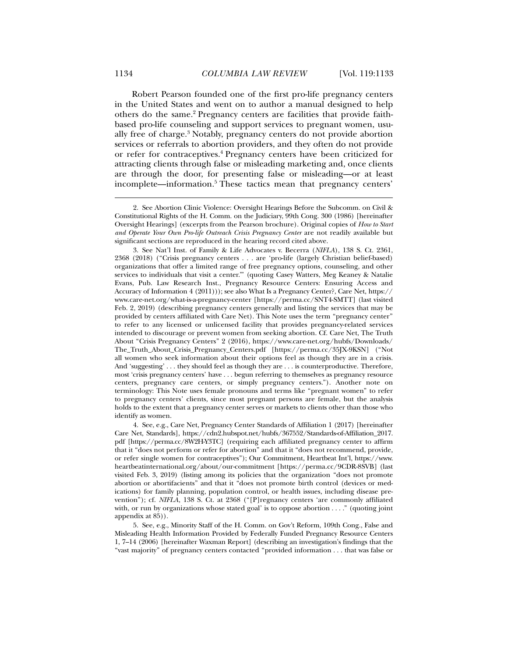Robert Pearson founded one of the first pro-life pregnancy centers in the United States and went on to author a manual designed to help others do the same.<sup>2</sup> Pregnancy centers are facilities that provide faithbased pro-life counseling and support services to pregnant women, usually free of charge.<sup>3</sup> Notably, pregnancy centers do not provide abortion services or referrals to abortion providers, and they often do not provide or refer for contraceptives.<sup>4</sup> Pregnancy centers have been criticized for attracting clients through false or misleading marketing and, once clients are through the door, for presenting false or misleading—or at least incomplete—information.5 These tactics mean that pregnancy centers'

 4. See, e.g., Care Net, Pregnancy Center Standards of Affiliation 1 (2017) [hereinafter Care Net, Standards], https://cdn2.hubspot.net/hubfs/367552/Standards-of-Affiliation\_2017. pdf [https://perma.cc/8W2H-Y3TC] (requiring each affiliated pregnancy center to affirm that it "does not perform or refer for abortion" and that it "does not recommend, provide, or refer single women for contraceptives"); Our Commitment, Heartbeat Int'l, https://www. heartbeatinternational.org/about/our-commitment [https://perma.cc/9CDR-8SVB] (last visited Feb. 3, 2019) (listing among its policies that the organization "does not promote abortion or abortifacients" and that it "does not promote birth control (devices or medications) for family planning, population control, or health issues, including disease prevention"); cf. *NIFLA*, 138 S. Ct. at 2368 ("[P]regnancy centers 'are commonly affiliated with, or run by organizations whose stated goal' is to oppose abortion . . . ." (quoting joint appendix at 85)).

 5. See, e.g., Minority Staff of the H. Comm. on Gov't Reform, 109th Cong., False and Misleading Health Information Provided by Federally Funded Pregnancy Resource Centers 1, 7–14 (2006) [hereinafter Waxman Report] (describing an investigation's findings that the "vast majority" of pregnancy centers contacted "provided information . . . that was false or

 <sup>2.</sup> See Abortion Clinic Violence: Oversight Hearings Before the Subcomm. on Civil & Constitutional Rights of the H. Comm. on the Judiciary, 99th Cong. 300 (1986) [hereinafter Oversight Hearings] (excerpts from the Pearson brochure). Original copies of *How to Start and Operate Your Own Pro-life Outreach Crisis Pregnancy Center* are not readily available but significant sections are reproduced in the hearing record cited above.

 <sup>3.</sup> See Nat'l Inst. of Family & Life Advocates v. Becerra (*NIFLA*), 138 S. Ct. 2361, 2368 (2018) ("Crisis pregnancy centers . . . are 'pro-life (largely Christian belief-based) organizations that offer a limited range of free pregnancy options, counseling, and other services to individuals that visit a center.'" (quoting Casey Watters, Meg Keaney & Natalie Evans, Pub. Law Research Inst., Pregnancy Resource Centers: Ensuring Access and Accuracy of Information 4 (2011))); see also What Is a Pregnancy Center?, Care Net, https:// www.care-net.org/what-is-a-pregnancy-center [https://perma.cc/SNT4-SMTT] (last visited Feb. 2, 2019) (describing pregnancy centers generally and listing the services that may be provided by centers affiliated with Care Net). This Note uses the term "pregnancy center" to refer to any licensed or unlicensed facility that provides pregnancy-related services intended to discourage or prevent women from seeking abortion. Cf. Care Net, The Truth About "Crisis Pregnancy Centers" 2 (2016), https://www.care-net.org/hubfs/Downloads/ The\_Truth\_About\_Crisis\_Pregnancy\_Centers.pdf [https://perma.cc/35JX-9KSN] ("Not all women who seek information about their options feel as though they are in a crisis. And 'suggesting' . . . they should feel as though they are . . . is counterproductive. Therefore, most 'crisis pregnancy centers' have . . . begun referring to themselves as pregnancy resource centers, pregnancy care centers, or simply pregnancy centers."). Another note on terminology: This Note uses female pronouns and terms like "pregnant women" to refer to pregnancy centers' clients, since most pregnant persons are female, but the analysis holds to the extent that a pregnancy center serves or markets to clients other than those who identify as women.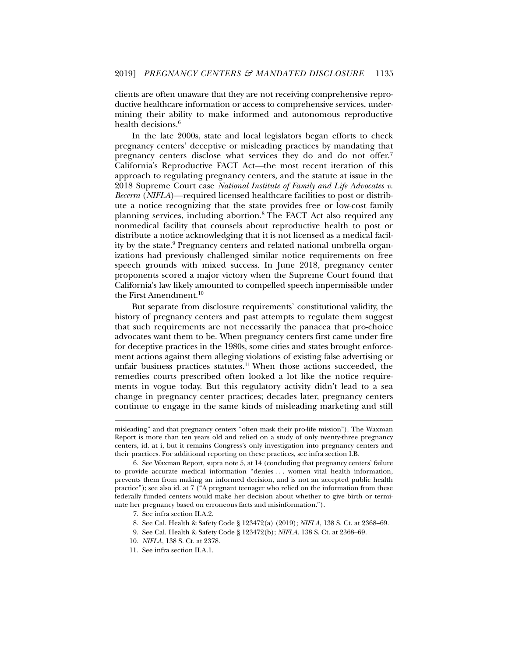clients are often unaware that they are not receiving comprehensive reproductive healthcare information or access to comprehensive services, undermining their ability to make informed and autonomous reproductive health decisions.<sup>6</sup>

In the late 2000s, state and local legislators began efforts to check pregnancy centers' deceptive or misleading practices by mandating that pregnancy centers disclose what services they do and do not offer.<sup>7</sup> California's Reproductive FACT Act—the most recent iteration of this approach to regulating pregnancy centers, and the statute at issue in the 2018 Supreme Court case *National Institute of Family and Life Advocates v. Becerra* (*NIFLA*)—required licensed healthcare facilities to post or distribute a notice recognizing that the state provides free or low-cost family planning services, including abortion.<sup>8</sup> The FACT Act also required any nonmedical facility that counsels about reproductive health to post or distribute a notice acknowledging that it is not licensed as a medical facility by the state.<sup>9</sup> Pregnancy centers and related national umbrella organizations had previously challenged similar notice requirements on free speech grounds with mixed success. In June 2018, pregnancy center proponents scored a major victory when the Supreme Court found that California's law likely amounted to compelled speech impermissible under the First Amendment.<sup>10</sup>

But separate from disclosure requirements' constitutional validity, the history of pregnancy centers and past attempts to regulate them suggest that such requirements are not necessarily the panacea that pro-choice advocates want them to be. When pregnancy centers first came under fire for deceptive practices in the 1980s, some cities and states brought enforcement actions against them alleging violations of existing false advertising or unfair business practices statutes.11 When those actions succeeded, the remedies courts prescribed often looked a lot like the notice requirements in vogue today. But this regulatory activity didn't lead to a sea change in pregnancy center practices; decades later, pregnancy centers continue to engage in the same kinds of misleading marketing and still

misleading" and that pregnancy centers "often mask their pro-life mission"). The Waxman Report is more than ten years old and relied on a study of only twenty-three pregnancy centers, id. at i, but it remains Congress's only investigation into pregnancy centers and their practices. For additional reporting on these practices, see infra section I.B.

 <sup>6.</sup> See Waxman Report, supra note 5, at 14 (concluding that pregnancy centers' failure to provide accurate medical information "denies . . . women vital health information, prevents them from making an informed decision, and is not an accepted public health practice"); see also id. at 7 ("A pregnant teenager who relied on the information from these federally funded centers would make her decision about whether to give birth or terminate her pregnancy based on erroneous facts and misinformation.").

 <sup>7.</sup> See infra section II.A.2.

 <sup>8.</sup> See Cal. Health & Safety Code § 123472(a) (2019); *NIFLA*, 138 S. Ct. at 2368–69.

 <sup>9.</sup> See Cal. Health & Safety Code § 123472(b); *NIFLA*, 138 S. Ct. at 2368–69.

<sup>10.</sup> *NIFLA*, 138 S. Ct. at 2378.

 <sup>11.</sup> See infra section II.A.1.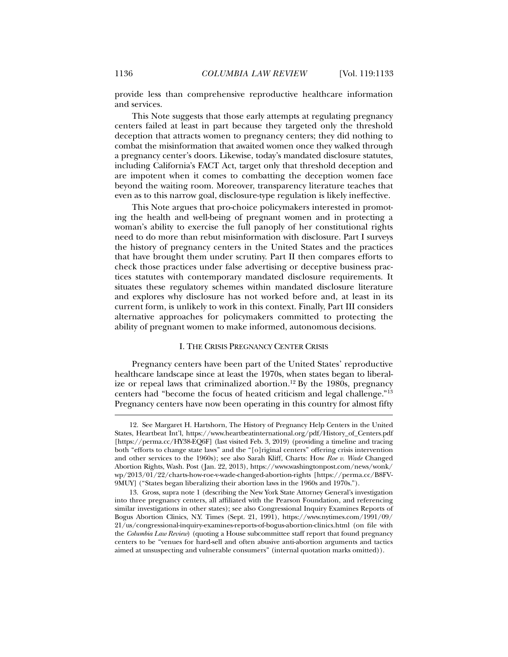provide less than comprehensive reproductive healthcare information and services.

This Note suggests that those early attempts at regulating pregnancy centers failed at least in part because they targeted only the threshold deception that attracts women to pregnancy centers; they did nothing to combat the misinformation that awaited women once they walked through a pregnancy center's doors. Likewise, today's mandated disclosure statutes, including California's FACT Act, target only that threshold deception and are impotent when it comes to combatting the deception women face beyond the waiting room. Moreover, transparency literature teaches that even as to this narrow goal, disclosure-type regulation is likely ineffective.

This Note argues that pro-choice policymakers interested in promoting the health and well-being of pregnant women and in protecting a woman's ability to exercise the full panoply of her constitutional rights need to do more than rebut misinformation with disclosure. Part I surveys the history of pregnancy centers in the United States and the practices that have brought them under scrutiny. Part II then compares efforts to check those practices under false advertising or deceptive business practices statutes with contemporary mandated disclosure requirements. It situates these regulatory schemes within mandated disclosure literature and explores why disclosure has not worked before and, at least in its current form, is unlikely to work in this context. Finally, Part III considers alternative approaches for policymakers committed to protecting the ability of pregnant women to make informed, autonomous decisions.

# I. THE CRISIS PREGNANCY CENTER CRISIS

Pregnancy centers have been part of the United States' reproductive healthcare landscape since at least the 1970s, when states began to liberalize or repeal laws that criminalized abortion.<sup>12</sup> By the 1980s, pregnancy centers had "become the focus of heated criticism and legal challenge."13 Pregnancy centers have now been operating in this country for almost fifty

 <sup>12.</sup> See Margaret H. Hartshorn, The History of Pregnancy Help Centers in the United States, Heartbeat Int'l, https://www.heartbeatinternational.org/pdf/History\_of\_Centers.pdf [https://perma.cc/HY38-EQ6F] (last visited Feb. 3, 2019) (providing a timeline and tracing both "efforts to change state laws" and the "[o]riginal centers" offering crisis intervention and other services to the 1960s); see also Sarah Kliff, Charts: How *Roe v. Wade* Changed Abortion Rights, Wash. Post (Jan. 22, 2013), https://www.washingtonpost.com/news/wonk/ wp/2013/01/22/charts-how-roe-v-wade-changed-abortion-rights [https://perma.cc/B8FV-9MUY] ("States began liberalizing their abortion laws in the 1960s and 1970s.").

 <sup>13.</sup> Gross, supra note 1 (describing the New York State Attorney General's investigation into three pregnancy centers, all affiliated with the Pearson Foundation, and referencing similar investigations in other states); see also Congressional Inquiry Examines Reports of Bogus Abortion Clinics, N.Y. Times (Sept. 21, 1991), https://www.nytimes.com/1991/09/ 21/us/congressional-inquiry-examines-reports-of-bogus-abortion-clinics.html (on file with the *Columbia Law Review*) (quoting a House subcommittee staff report that found pregnancy centers to be "venues for hard-sell and often abusive anti-abortion arguments and tactics aimed at unsuspecting and vulnerable consumers" (internal quotation marks omitted)).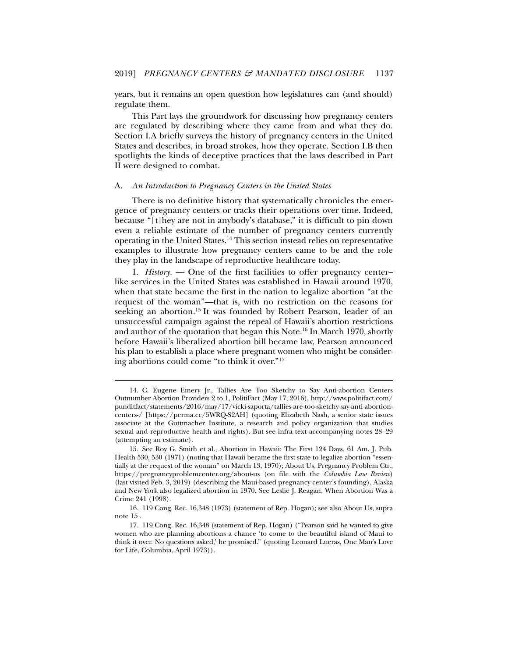years, but it remains an open question how legislatures can (and should) regulate them.

This Part lays the groundwork for discussing how pregnancy centers are regulated by describing where they came from and what they do. Section I.A briefly surveys the history of pregnancy centers in the United States and describes, in broad strokes, how they operate. Section I.B then spotlights the kinds of deceptive practices that the laws described in Part II were designed to combat.

#### A. *An Introduction to Pregnancy Centers in the United States*

There is no definitive history that systematically chronicles the emergence of pregnancy centers or tracks their operations over time. Indeed, because "[t]hey are not in anybody's database," it is difficult to pin down even a reliable estimate of the number of pregnancy centers currently operating in the United States.14 This section instead relies on representative examples to illustrate how pregnancy centers came to be and the role they play in the landscape of reproductive healthcare today.

1. *History.* — One of the first facilities to offer pregnancy center– like services in the United States was established in Hawaii around 1970, when that state became the first in the nation to legalize abortion "at the request of the woman"—that is, with no restriction on the reasons for seeking an abortion.<sup>15</sup> It was founded by Robert Pearson, leader of an unsuccessful campaign against the repeal of Hawaii's abortion restrictions and author of the quotation that began this Note.<sup>16</sup> In March 1970, shortly before Hawaii's liberalized abortion bill became law, Pearson announced his plan to establish a place where pregnant women who might be considering abortions could come "to think it over."17

 <sup>14.</sup> C. Eugene Emery Jr., Tallies Are Too Sketchy to Say Anti-abortion Centers Outnumber Abortion Providers 2 to 1, PolitiFact (May 17, 2016), http://www.politifact.com/ punditfact/statements/2016/may/17/vicki-saporta/tallies-are-too-sketchy-say-anti-abortioncenters-/ [https://perma.cc/5WRQ-S2AH] (quoting Elizabeth Nash, a senior state issues associate at the Guttmacher Institute, a research and policy organization that studies sexual and reproductive health and rights). But see infra text accompanying notes 28–29 (attempting an estimate).

 <sup>15.</sup> See Roy G. Smith et al., Abortion in Hawaii: The First 124 Days, 61 Am. J. Pub. Health 530, 530 (1971) (noting that Hawaii became the first state to legalize abortion "essentially at the request of the woman" on March 13, 1970); About Us, Pregnancy Problem Ctr., https://pregnancyproblemcenter.org/about-us (on file with the *Columbia Law Review*) (last visited Feb. 3, 2019) (describing the Maui-based pregnancy center's founding). Alaska and New York also legalized abortion in 1970. See Leslie J. Reagan, When Abortion Was a Crime 241 (1998).

 <sup>16. 119</sup> Cong. Rec. 16,348 (1973) (statement of Rep. Hogan); see also About Us, supra note 15 .

 <sup>17. 119</sup> Cong. Rec. 16,348 (statement of Rep. Hogan) ("Pearson said he wanted to give women who are planning abortions a chance 'to come to the beautiful island of Maui to think it over. No questions asked,' he promised." (quoting Leonard Lueras, One Man's Love for Life, Columbia, April 1973)).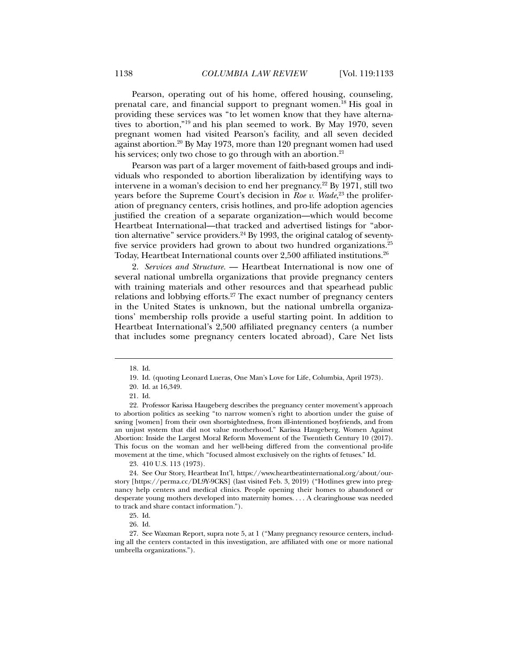Pearson, operating out of his home, offered housing, counseling, prenatal care, and financial support to pregnant women.18 His goal in providing these services was "to let women know that they have alternatives to abortion,"19 and his plan seemed to work. By May 1970, seven pregnant women had visited Pearson's facility, and all seven decided against abortion.20 By May 1973, more than 120 pregnant women had used his services; only two chose to go through with an abortion.<sup>21</sup>

Pearson was part of a larger movement of faith-based groups and individuals who responded to abortion liberalization by identifying ways to intervene in a woman's decision to end her pregnancy.22 By 1971, still two years before the Supreme Court's decision in *Roe v. Wade*, 23 the proliferation of pregnancy centers, crisis hotlines, and pro-life adoption agencies justified the creation of a separate organization—which would become Heartbeat International—that tracked and advertised listings for "abortion alternative" service providers. $24$  By 1993, the original catalog of seventyfive service providers had grown to about two hundred organizations.<sup>25</sup> Today, Heartbeat International counts over 2,500 affiliated institutions.26

2. *Services and Structure.* — Heartbeat International is now one of several national umbrella organizations that provide pregnancy centers with training materials and other resources and that spearhead public relations and lobbying efforts.27 The exact number of pregnancy centers in the United States is unknown, but the national umbrella organizations' membership rolls provide a useful starting point. In addition to Heartbeat International's 2,500 affiliated pregnancy centers (a number that includes some pregnancy centers located abroad), Care Net lists

l

23. 410 U.S. 113 (1973).

 <sup>18.</sup> Id.

 <sup>19.</sup> Id. (quoting Leonard Lueras, One Man's Love for Life, Columbia, April 1973).

 <sup>20.</sup> Id. at 16,349.

 <sup>21.</sup> Id.

 <sup>22.</sup> Professor Karissa Haugeberg describes the pregnancy center movement's approach to abortion politics as seeking "to narrow women's right to abortion under the guise of saving [women] from their own shortsightedness, from ill-intentioned boyfriends, and from an unjust system that did not value motherhood." Karissa Haugeberg, Women Against Abortion: Inside the Largest Moral Reform Movement of the Twentieth Century 10 (2017). This focus on the woman and her well-being differed from the conventional pro-life movement at the time, which "focused almost exclusively on the rights of fetuses." Id.

 <sup>24.</sup> See Our Story, Heartbeat Int'l, https://www.heartbeatinternational.org/about/ourstory [https://perma.cc/DL9Y-9CKS] (last visited Feb. 3, 2019) ("Hotlines grew into pregnancy help centers and medical clinics. People opening their homes to abandoned or desperate young mothers developed into maternity homes. . . . A clearinghouse was needed to track and share contact information.").

 <sup>25.</sup> Id.

 <sup>26.</sup> Id.

 <sup>27.</sup> See Waxman Report, supra note 5, at 1 ("Many pregnancy resource centers, including all the centers contacted in this investigation, are affiliated with one or more national umbrella organizations.").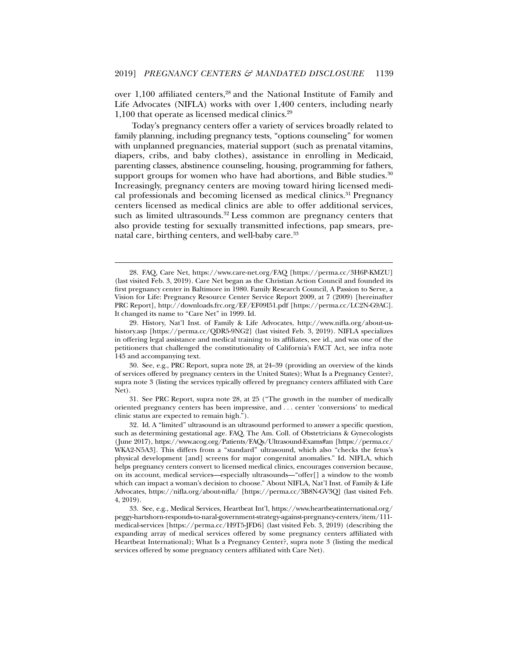over 1,100 affiliated centers,<sup>28</sup> and the National Institute of Family and Life Advocates (NIFLA) works with over 1,400 centers, including nearly 1,100 that operate as licensed medical clinics.<sup>29</sup>

Today's pregnancy centers offer a variety of services broadly related to family planning, including pregnancy tests, "options counseling" for women with unplanned pregnancies, material support (such as prenatal vitamins, diapers, cribs, and baby clothes), assistance in enrolling in Medicaid, parenting classes, abstinence counseling, housing, programming for fathers, support groups for women who have had abortions, and Bible studies. $30$ Increasingly, pregnancy centers are moving toward hiring licensed medical professionals and becoming licensed as medical clinics.<sup>31</sup> Pregnancy centers licensed as medical clinics are able to offer additional services, such as limited ultrasounds. $32$  Less common are pregnancy centers that also provide testing for sexually transmitted infections, pap smears, prenatal care, birthing centers, and well-baby care.<sup>33</sup>

 <sup>28.</sup> FAQ, Care Net, https://www.care-net.org/FAQ [https://perma.cc/3H6P-KMZU] (last visited Feb. 3, 2019). Care Net began as the Christian Action Council and founded its first pregnancy center in Baltimore in 1980. Family Research Council, A Passion to Serve, a Vision for Life: Pregnancy Resource Center Service Report 2009, at 7 (2009) [hereinafter PRC Report], http://downloads.frc.org/EF/EF09I51.pdf [https://perma.cc/LC2N-G9AC]. It changed its name to "Care Net" in 1999. Id.

 <sup>29.</sup> History, Nat'l Inst. of Family & Life Advocates, http://www.nifla.org/about-ushistory.asp [https://perma.cc/QDR5-9NG2] (last visited Feb. 3, 2019). NIFLA specializes in offering legal assistance and medical training to its affiliates, see id., and was one of the petitioners that challenged the constitutionality of California's FACT Act, see infra note 145 and accompanying text.

 <sup>30.</sup> See, e.g., PRC Report, supra note 28, at 24–39 (providing an overview of the kinds of services offered by pregnancy centers in the United States); What Is a Pregnancy Center?, supra note 3 (listing the services typically offered by pregnancy centers affiliated with Care Net).

 <sup>31.</sup> See PRC Report, supra note 28, at 25 ("The growth in the number of medically oriented pregnancy centers has been impressive, and . . . center 'conversions' to medical clinic status are expected to remain high.").

 <sup>32.</sup> Id. A "limited" ultrasound is an ultrasound performed to answer a specific question, such as determining gestational age. FAQ, The Am. Coll. of Obstetricians & Gynecologists (June 2017), https://www.acog.org/Patients/FAQs/Ultrasound-Exams#an [https://perma.cc/ WKA2-N5A3]. This differs from a "standard" ultrasound, which also "checks the fetus's physical development [and] screens for major congenital anomalies." Id. NIFLA, which helps pregnancy centers convert to licensed medical clinics, encourages conversion because, on its account, medical services—especially ultrasounds—"offer[] a window to the womb which can impact a woman's decision to choose." About NIFLA, Nat'l Inst. of Family & Life Advocates, https://nifla.org/about-nifla/ [https://perma.cc/3B8N-GV3Q] (last visited Feb. 4, 2019).

 <sup>33.</sup> See, e.g., Medical Services, Heartbeat Int'l, https://www.heartbeatinternational.org/ peggy-hartshorn-responds-to-naral-government-strategy-against-pregnancy-centers/item/111 medical-services [https://perma.cc/H9T5-JFD6] (last visited Feb. 3, 2019) (describing the expanding array of medical services offered by some pregnancy centers affiliated with Heartbeat International); What Is a Pregnancy Center?, supra note 3 (listing the medical services offered by some pregnancy centers affiliated with Care Net).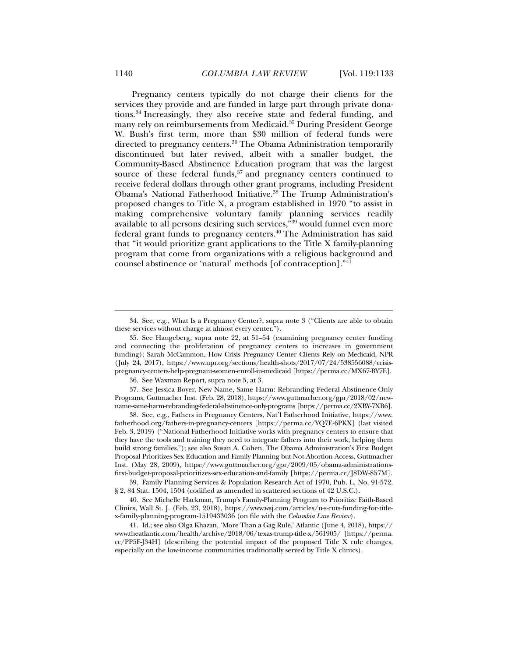Pregnancy centers typically do not charge their clients for the services they provide and are funded in large part through private donations.34 Increasingly, they also receive state and federal funding, and many rely on reimbursements from Medicaid.35 During President George W. Bush's first term, more than \$30 million of federal funds were directed to pregnancy centers.<sup>36</sup> The Obama Administration temporarily discontinued but later revived, albeit with a smaller budget, the Community-Based Abstinence Education program that was the largest source of these federal funds, $37$  and pregnancy centers continued to receive federal dollars through other grant programs, including President Obama's National Fatherhood Initiative.38 The Trump Administration's proposed changes to Title X, a program established in 1970 "to assist in making comprehensive voluntary family planning services readily available to all persons desiring such services,"39 would funnel even more federal grant funds to pregnancy centers.40 The Administration has said that "it would prioritize grant applications to the Title X family-planning program that come from organizations with a religious background and counsel abstinence or 'natural' methods [of contraception]."41

 37. See Jessica Boyer, New Name, Same Harm: Rebranding Federal Abstinence-Only Programs, Guttmacher Inst. (Feb. 28, 2018), https://www.guttmacher.org/gpr/2018/02/newname-same-harm-rebranding-federal-abstinence-only-programs [https://perma.cc/2XBY-7XB6].

 38. See, e.g., Fathers in Pregnancy Centers, Nat'l Fatherhood Initiative, https://www. fatherhood.org/fathers-in-pregnancy-centers [https://perma.cc/YQ7E-6PKX] (last visited Feb. 3, 2019) ("National Fatherhood Initiative works with pregnancy centers to ensure that they have the tools and training they need to integrate fathers into their work, helping them build strong families."); see also Susan A. Cohen, The Obama Administration's First Budget Proposal Prioritizes Sex Education and Family Planning but Not Abortion Access, Guttmacher Inst. (May 28, 2009), https://www.guttmacher.org/gpr/2009/05/obama-administrationsfirst-budget-proposal-prioritizes-sex-education-and-family [https://perma.cc/J8DW-857M].

 39. Family Planning Services & Population Research Act of 1970, Pub. L. No. 91-572, § 2, 84 Stat. 1504, 1504 (codified as amended in scattered sections of 42 U.S.C.).

 40. See Michelle Hackman, Trump's Family-Planning Program to Prioritize Faith-Based Clinics, Wall St. J. (Feb. 23, 2018), https://www.wsj.com/articles/u-s-cuts-funding-for-titlex-family-planning-program-1519433036 (on file with the *Columbia Law Review*).

 41. Id.; see also Olga Khazan, 'More Than a Gag Rule,' Atlantic (June 4, 2018), https:// www.theatlantic.com/health/archive/2018/06/texas-trump-title-x/561905/ [https://perma. cc/PP5F-J34H] (describing the potential impact of the proposed Title X rule changes, especially on the low-income communities traditionally served by Title X clinics).

 <sup>34.</sup> See, e.g., What Is a Pregnancy Center?, supra note 3 ("Clients are able to obtain these services without charge at almost every center.").

 <sup>35.</sup> See Haugeberg, supra note 22, at 51–54 (examining pregnancy center funding and connecting the proliferation of pregnancy centers to increases in government funding); Sarah McCammon, How Crisis Pregnancy Center Clients Rely on Medicaid, NPR (July 24, 2017), https://www.npr.org/sections/health-shots/2017/07/24/538556088/crisispregnancy-centers-help-pregnant-women-enroll-in-medicaid [https://perma.cc/MX67-BY7E].

 <sup>36.</sup> See Waxman Report, supra note 5, at 3.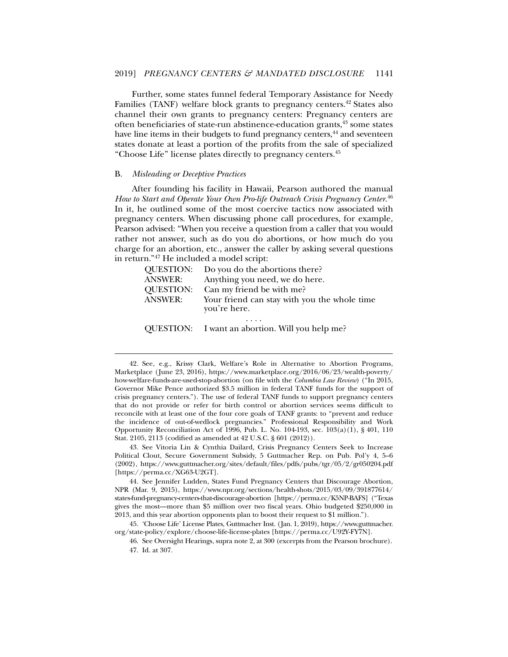Further, some states funnel federal Temporary Assistance for Needy Families (TANF) welfare block grants to pregnancy centers.<sup>42</sup> States also channel their own grants to pregnancy centers: Pregnancy centers are often beneficiaries of state-run abstinence-education grants,43 some states have line items in their budgets to fund pregnancy centers,<sup>44</sup> and seventeen states donate at least a portion of the profits from the sale of specialized "Choose Life" license plates directly to pregnancy centers.45

#### B. *Misleading or Deceptive Practices*

l

After founding his facility in Hawaii, Pearson authored the manual *How to Start and Operate Your Own Pro-life Outreach Crisis Pregnancy Center*. 46 In it, he outlined some of the most coercive tactics now associated with pregnancy centers. When discussing phone call procedures, for example, Pearson advised: "When you receive a question from a caller that you would rather not answer, such as do you do abortions, or how much do you charge for an abortion, etc., answer the caller by asking several questions in return."47 He included a model script:

| <b>QUESTION:</b> | Do you do the abortions there?                               |
|------------------|--------------------------------------------------------------|
| <b>ANSWER:</b>   | Anything you need, we do here.                               |
| <b>QUESTION:</b> | Can my friend be with me?                                    |
| <b>ANSWER:</b>   | Your friend can stay with you the whole time<br>you're here. |
|                  | QUESTION: I want an abortion. Will you help me?              |

 43. See Vitoria Lin & Cynthia Dailard, Crisis Pregnancy Centers Seek to Increase Political Clout, Secure Government Subsidy, 5 Guttmacher Rep. on Pub. Pol'y 4, 5–6 (2002), https://www.guttmacher.org/sites/default/files/pdfs/pubs/tgr/05/2/gr050204.pdf [https://perma.cc/XG63-U2GT].

 <sup>42.</sup> See, e.g., Krissy Clark, Welfare's Role in Alternative to Abortion Programs, Marketplace (June 23, 2016), https://www.marketplace.org/2016/06/23/wealth-poverty/ how-welfare-funds-are-used-stop-abortion (on file with the *Columbia Law Review*) ("In 2015, Governor Mike Pence authorized \$3.5 million in federal TANF funds for the support of crisis pregnancy centers."). The use of federal TANF funds to support pregnancy centers that do not provide or refer for birth control or abortion services seems difficult to reconcile with at least one of the four core goals of TANF grants: to "prevent and reduce the incidence of out-of-wedlock pregnancies." Professional Responsibility and Work Opportunity Reconciliation Act of 1996, Pub. L. No. 104-193, sec. 103(a)(1), § 401, 110 Stat. 2105, 2113 (codified as amended at 42 U.S.C. § 601 (2012)).

 <sup>44.</sup> See Jennifer Ludden, States Fund Pregnancy Centers that Discourage Abortion, NPR (Mar. 9, 2015), https://www.npr.org/sections/health-shots/2015/03/09/391877614/ states-fund-pregnancy-centers-that-discourage-abortion [https://perma.cc/K5NP-BAFS] ("Texas gives the most—more than \$5 million over two fiscal years. Ohio budgeted \$250,000 in 2013, and this year abortion opponents plan to boost their request to \$1 million.").

 <sup>45. &#</sup>x27;Choose Life' License Plates, Guttmacher Inst. (Jan. 1, 2019), https://www.guttmacher. org/state-policy/explore/choose-life-license-plates [https://perma.cc/U92Y-FY7N].

 <sup>46.</sup> See Oversight Hearings, supra note 2, at 300 (excerpts from the Pearson brochure). 47. Id. at 307.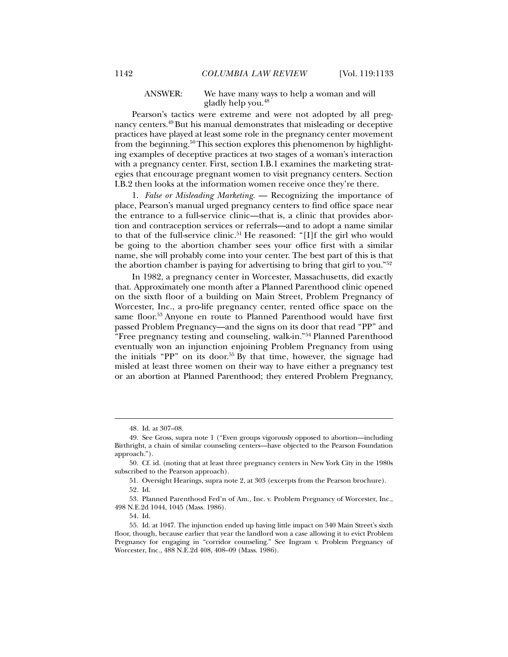# ANSWER: We have many ways to help a woman and will gladly help you.48

Pearson's tactics were extreme and were not adopted by all pregnancy centers.49 But his manual demonstrates that misleading or deceptive practices have played at least some role in the pregnancy center movement from the beginning.50 This section explores this phenomenon by highlighting examples of deceptive practices at two stages of a woman's interaction with a pregnancy center. First, section I.B.1 examines the marketing strategies that encourage pregnant women to visit pregnancy centers. Section I.B.2 then looks at the information women receive once they're there.

1. *False or Misleading Marketing.* — Recognizing the importance of place, Pearson's manual urged pregnancy centers to find office space near the entrance to a full-service clinic—that is, a clinic that provides abortion and contraception services or referrals—and to adopt a name similar to that of the full-service clinic.<sup>51</sup> He reasoned: "[I]f the girl who would be going to the abortion chamber sees your office first with a similar name, she will probably come into your center. The best part of this is that the abortion chamber is paying for advertising to bring that girl to you."52

In 1982, a pregnancy center in Worcester, Massachusetts, did exactly that. Approximately one month after a Planned Parenthood clinic opened on the sixth floor of a building on Main Street, Problem Pregnancy of Worcester, Inc., a pro-life pregnancy center, rented office space on the same floor.53 Anyone en route to Planned Parenthood would have first passed Problem Pregnancy—and the signs on its door that read "PP" and "Free pregnancy testing and counseling, walk-in."<sup>54</sup> Planned Parenthood eventually won an injunction enjoining Problem Pregnancy from using the initials "PP" on its door.<sup>55</sup> By that time, however, the signage had misled at least three women on their way to have either a pregnancy test or an abortion at Planned Parenthood; they entered Problem Pregnancy,

 <sup>48.</sup> Id. at 307–08.

 <sup>49.</sup> See Gross, supra note 1 ("Even groups vigorously opposed to abortion—including Birthright, a chain of similar counseling centers—have objected to the Pearson Foundation approach.").

 <sup>50.</sup> Cf. id. (noting that at least three pregnancy centers in New York City in the 1980s subscribed to the Pearson approach).

 <sup>51.</sup> Oversight Hearings, supra note 2, at 303 (excerpts from the Pearson brochure).

 <sup>52.</sup> Id.

 <sup>53.</sup> Planned Parenthood Fed'n of Am., Inc. v. Problem Pregnancy of Worcester, Inc., 498 N.E.2d 1044, 1045 (Mass. 1986).

 <sup>54.</sup> Id.

 <sup>55.</sup> Id. at 1047. The injunction ended up having little impact on 340 Main Street's sixth floor, though, because earlier that year the landlord won a case allowing it to evict Problem Pregnancy for engaging in "corridor counseling." See Ingram v. Problem Pregnancy of Worcester, Inc., 488 N.E.2d 408, 408–09 (Mass. 1986).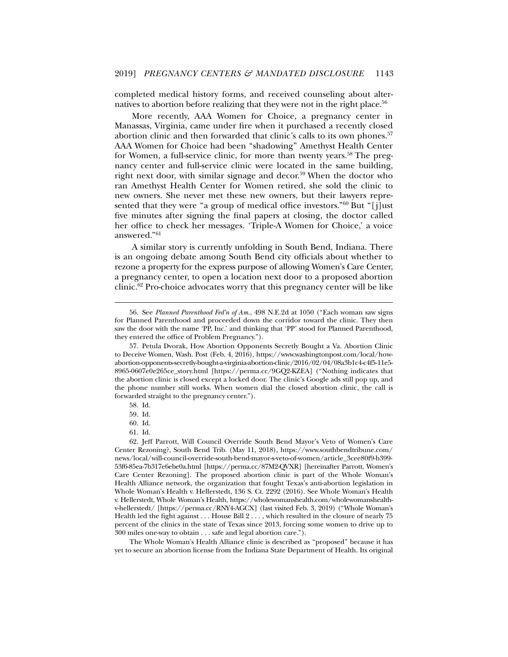completed medical history forms, and received counseling about alternatives to abortion before realizing that they were not in the right place.<sup>56</sup>

More recently, AAA Women for Choice, a pregnancy center in Manassas, Virginia, came under fire when it purchased a recently closed abortion clinic and then forwarded that clinic's calls to its own phones.<sup>57</sup> AAA Women for Choice had been "shadowing" Amethyst Health Center for Women, a full-service clinic, for more than twenty years.<sup>58</sup> The pregnancy center and full-service clinic were located in the same building, right next door, with similar signage and decor.<sup>59</sup> When the doctor who ran Amethyst Health Center for Women retired, she sold the clinic to new owners. She never met these new owners, but their lawyers represented that they were "a group of medical office investors."60 But "[j]ust five minutes after signing the final papers at closing, the doctor called her office to check her messages. 'Triple-A Women for Choice,' a voice answered."61

A similar story is currently unfolding in South Bend, Indiana. There is an ongoing debate among South Bend city officials about whether to rezone a property for the express purpose of allowing Women's Care Center, a pregnancy center, to open a location next door to a proposed abortion clinic.62 Pro-choice advocates worry that this pregnancy center will be like

l

The Whole Woman's Health Alliance clinic is described as "proposed" because it has yet to secure an abortion license from the Indiana State Department of Health. Its original

 <sup>56.</sup> See *Planned Parenthood Fed'n of Am.*, 498 N.E.2d at 1050 ("Each woman saw signs for Planned Parenthood and proceeded down the corridor toward the clinic. They then saw the door with the name 'PP, Inc.' and thinking that 'PP' stood for Planned Parenthood, they entered the office of Problem Pregnancy.").

 <sup>57.</sup> Petula Dvorak, How Abortion Opponents Secretly Bought a Va. Abortion Clinic to Deceive Women, Wash. Post (Feb. 4, 2016), https://www.washingtonpost.com/local/howabortion-opponents-secretly-bought-a-virginia-abortion-clinic/2016/02/04/08a3b1c4-c4f5-11e5- 8965-0607e0e265ce\_story.html [https://perma.cc/9GQ2-KZEA] ("Nothing indicates that the abortion clinic is closed except a locked door. The clinic's Google ads still pop up, and the phone number still works. When women dial the closed abortion clinic, the call is forwarded straight to the pregnancy center.").

 <sup>58.</sup> Id.

 <sup>59.</sup> Id.

 <sup>60.</sup> Id.

 <sup>61.</sup> Id.

 <sup>62.</sup> Jeff Parrott, Will Council Override South Bend Mayor's Veto of Women's Care Center Rezoning?, South Bend Trib. (May 11, 2018), https://www.southbendtribune.com/ news/local/will-council-override-south-bend-mayor-s-veto-of-women/article\_3cee80f9-b399- 53f6-85ea-7b317e6ebe0a.html [https://perma.cc/87M2-QVXR] [hereinafter Parrott, Women's Care Center Rezoning]. The proposed abortion clinic is part of the Whole Woman's Health Alliance network, the organization that fought Texas's anti-abortion legislation in Whole Woman's Health v. Hellerstedt, 136 S. Ct. 2292 (2016). See Whole Woman's Health v. Hellerstedt, Whole Woman's Health, https://wholewomanshealth.com/wholewomanshealthv-hellerstedt/ [https://perma.cc/RNY4-AGCX] (last visited Feb. 3, 2019) ("Whole Woman's Health led the fight against . . . House Bill 2 . . . , which resulted in the closure of nearly 75 percent of the clinics in the state of Texas since 2013, forcing some women to drive up to 300 miles one-way to obtain . . . safe and legal abortion care.").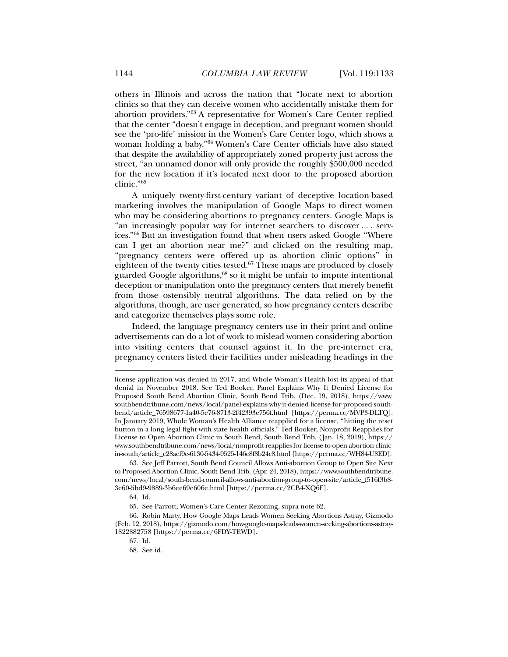others in Illinois and across the nation that "locate next to abortion clinics so that they can deceive women who accidentally mistake them for abortion providers."63 A representative for Women's Care Center replied that the center "doesn't engage in deception, and pregnant women should see the 'pro-life' mission in the Women's Care Center logo, which shows a woman holding a baby."64 Women's Care Center officials have also stated that despite the availability of appropriately zoned property just across the street, "an unnamed donor will only provide the roughly \$500,000 needed for the new location if it's located next door to the proposed abortion clinic."65

A uniquely twenty-first-century variant of deceptive location-based marketing involves the manipulation of Google Maps to direct women who may be considering abortions to pregnancy centers. Google Maps is "an increasingly popular way for internet searchers to discover . . . services."66 But an investigation found that when users asked Google "Where can I get an abortion near me?" and clicked on the resulting map, "pregnancy centers were offered up as abortion clinic options" in eighteen of the twenty cities tested.<sup>67</sup> These maps are produced by closely guarded Google algorithms,<sup>68</sup> so it might be unfair to impute intentional deception or manipulation onto the pregnancy centers that merely benefit from those ostensibly neutral algorithms. The data relied on by the algorithms, though, are user generated, so how pregnancy centers describe and categorize themselves plays some role.

Indeed, the language pregnancy centers use in their print and online advertisements can do a lot of work to mislead women considering abortion into visiting centers that counsel against it. In the pre-internet era, pregnancy centers listed their facilities under misleading headings in the

license application was denied in 2017, and Whole Woman's Health lost its appeal of that denial in November 2018. See Ted Booker, Panel Explains Why It Denied License for Proposed South Bend Abortion Clinic, South Bend Trib. (Dec. 19, 2018), https://www. southbendtribune.com/news/local/panel-explains-why-it-denied-license-for-proposed-southbend/article\_76598677-1a40-5e76-8713-2f42393e756f.html [https://perma.cc/MVP3-DLTQ]. In January 2019, Whole Woman's Health Alliance reapplied for a license, "hitting the reset button in a long legal fight with state health officials." Ted Booker, Nonprofit Reapplies for License to Open Abortion Clinic in South Bend, South Bend Trib. (Jan. 18, 2019), https:// www.southbendtribune.com/news/local/nonprofit-reapplies-for-license-to-open-abortion-clinicin-south/article\_c28aef0e-6130-5434-9525-146c8f8b24c8.html [https://perma.cc/WH84-U8ED].

 <sup>63.</sup> See Jeff Parrott, South Bend Council Allows Anti-abortion Group to Open Site Next to Proposed Abortion Clinic, South Bend Trib. (Apr. 24, 2018), https://www.southbendtribune. com/news/local/south-bend-council-allows-anti-abortion-group-to-open-site/article\_f516f3b8- 3e60-5bd9-9889-3b6ee69e606e.html [https://perma.cc/2CB4-XQ6F].

 <sup>64.</sup> Id.

 <sup>65.</sup> See Parrott, Women's Care Center Rezoning, supra note 62.

 <sup>66.</sup> Robin Marty, How Google Maps Leads Women Seeking Abortions Astray, Gizmodo (Feb. 12, 2018), https://gizmodo.com/how-google-maps-leads-women-seeking-abortions-astray-1822882758 [https://perma.cc/6FDY-TEWD].

 <sup>67.</sup> Id.

 <sup>68.</sup> See id.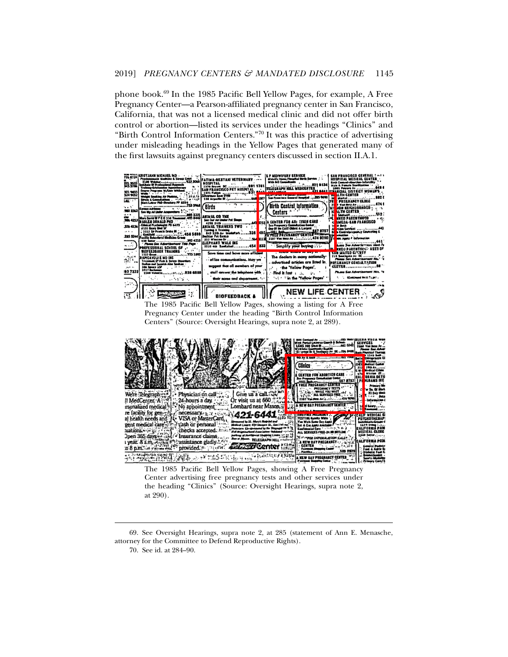phone book.69 In the 1985 Pacific Bell Yellow Pages, for example, A Free Pregnancy Center—a Pearson-affiliated pregnancy center in San Francisco, California, that was not a licensed medical clinic and did not offer birth control or abortion—listed its services under the headings "Clinics" and "Birth Control Information Centers."70 It was this practice of advertising under misleading headings in the Yellow Pages that generated many of the first lawsuits against pregnancy centers discussed in section II.A.1.







The 1985 Pacific Bell Yellow Pages, showing A Free Pregnancy Center advertising free pregnancy tests and other services under the heading "Clinics" (Source: Oversight Hearings, supra note 2, at 290).

 69. See Oversight Hearings, supra note 2, at 285 (statement of Ann E. Menasche, attorney for the Committee to Defend Reproductive Rights).

70. See id. at 284–90.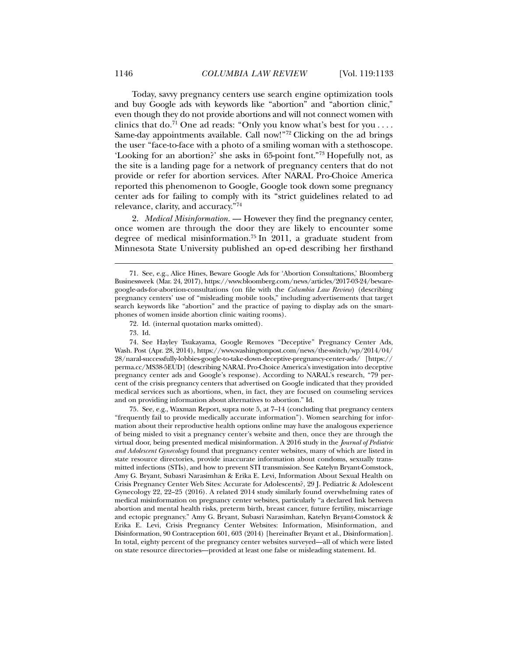Today, savvy pregnancy centers use search engine optimization tools and buy Google ads with keywords like "abortion" and "abortion clinic," even though they do not provide abortions and will not connect women with clinics that do.<sup>71</sup> One ad reads: "Only you know what's best for you .... Same-day appointments available. Call now!"72 Clicking on the ad brings the user "face-to-face with a photo of a smiling woman with a stethoscope. 'Looking for an abortion?' she asks in 65-point font."73 Hopefully not, as the site is a landing page for a network of pregnancy centers that do not provide or refer for abortion services. After NARAL Pro-Choice America reported this phenomenon to Google, Google took down some pregnancy center ads for failing to comply with its "strict guidelines related to ad relevance, clarity, and accuracy."74

2. *Medical Misinformation.* — However they find the pregnancy center, once women are through the door they are likely to encounter some degree of medical misinformation.75 In 2011, a graduate student from Minnesota State University published an op-ed describing her firsthand

l

 75. See, e.g., Waxman Report, supra note 5, at 7–14 (concluding that pregnancy centers "frequently fail to provide medically accurate information"). Women searching for information about their reproductive health options online may have the analogous experience of being misled to visit a pregnancy center's website and then, once they are through the virtual door, being presented medical misinformation. A 2016 study in the *Journal of Pediatric and Adolescent Gynecology* found that pregnancy center websites, many of which are listed in state resource directories, provide inaccurate information about condoms, sexually transmitted infections (STIs), and how to prevent STI transmission. See Katelyn Bryant-Comstock, Amy G. Bryant, Subasri Narasimhan & Erika E. Levi, Information About Sexual Health on Crisis Pregnancy Center Web Sites: Accurate for Adolescents?, 29 J. Pediatric & Adolescent Gynecology 22, 22–25 (2016). A related 2014 study similarly found overwhelming rates of medical misinformation on pregnancy center websites, particularly "a declared link between abortion and mental health risks, preterm birth, breast cancer, future fertility, miscarriage and ectopic pregnancy." Amy G. Bryant, Subasri Narasimhan, Katelyn Bryant-Comstock & Erika E. Levi, Crisis Pregnancy Center Websites: Information, Misinformation, and Disinformation, 90 Contraception 601, 603 (2014) [hereinafter Bryant et al., Disinformation]. In total, eighty percent of the pregnancy center websites surveyed—all of which were listed on state resource directories—provided at least one false or misleading statement. Id.

 <sup>71.</sup> See, e.g., Alice Hines, Beware Google Ads for 'Abortion Consultations,' Bloomberg Businessweek (Mar. 24, 2017), https://www.bloomberg.com/news/articles/2017-03-24/bewaregoogle-ads-for-abortion-consultations (on file with the *Columbia Law Review*) (describing pregnancy centers' use of "misleading mobile tools," including advertisements that target search keywords like "abortion" and the practice of paying to display ads on the smartphones of women inside abortion clinic waiting rooms).

 <sup>72.</sup> Id. (internal quotation marks omitted).

 <sup>73.</sup> Id.

 <sup>74.</sup> See Hayley Tsukayama, Google Removes "Deceptive" Pregnancy Center Ads, Wash. Post (Apr. 28, 2014), https://www.washingtonpost.com/news/the-switch/wp/2014/04/ 28/naral-successfully-lobbies-google-to-take-down-deceptive-pregnancy-center-ads/ [https:// perma.cc/MS38-5EUD] (describing NARAL Pro-Choice America's investigation into deceptive pregnancy center ads and Google's response). According to NARAL's research, "79 percent of the crisis pregnancy centers that advertised on Google indicated that they provided medical services such as abortions, when, in fact, they are focused on counseling services and on providing information about alternatives to abortion." Id.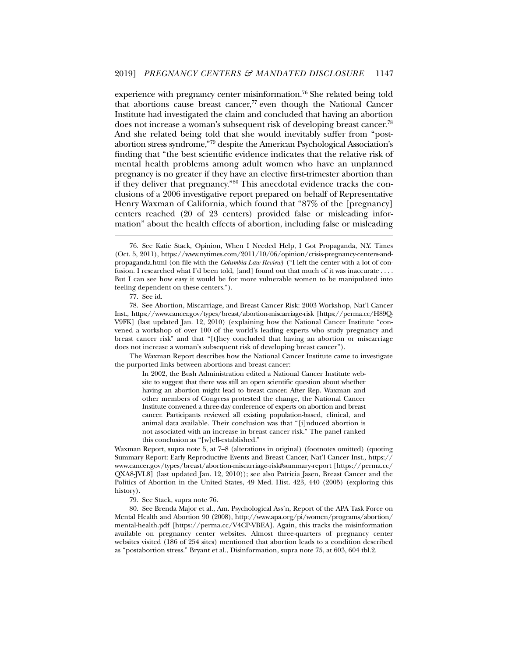experience with pregnancy center misinformation.<sup>76</sup> She related being told that abortions cause breast cancer, $77$  even though the National Cancer Institute had investigated the claim and concluded that having an abortion does not increase a woman's subsequent risk of developing breast cancer.78 And she related being told that she would inevitably suffer from "postabortion stress syndrome,"79 despite the American Psychological Association's finding that "the best scientific evidence indicates that the relative risk of mental health problems among adult women who have an unplanned pregnancy is no greater if they have an elective first-trimester abortion than if they deliver that pregnancy."80 This anecdotal evidence tracks the conclusions of a 2006 investigative report prepared on behalf of Representative Henry Waxman of California, which found that "87% of the [pregnancy] centers reached (20 of 23 centers) provided false or misleading information" about the health effects of abortion, including false or misleading

l

The Waxman Report describes how the National Cancer Institute came to investigate the purported links between abortions and breast cancer:

In 2002, the Bush Administration edited a National Cancer Institute website to suggest that there was still an open scientific question about whether having an abortion might lead to breast cancer. After Rep. Waxman and other members of Congress protested the change, the National Cancer Institute convened a three-day conference of experts on abortion and breast cancer. Participants reviewed all existing population-based, clinical, and animal data available. Their conclusion was that "[i]nduced abortion is not associated with an increase in breast cancer risk." The panel ranked this conclusion as "[w]ell-established."

Waxman Report, supra note 5, at 7–8 (alterations in original) (footnotes omitted) (quoting Summary Report: Early Reproductive Events and Breast Cancer, Nat'l Cancer Inst., https:// www.cancer.gov/types/breast/abortion-miscarriage-risk#summary-report [https://perma.cc/ QXA8-JVL8] (last updated Jan. 12, 2010)); see also Patricia Jasen, Breast Cancer and the Politics of Abortion in the United States, 49 Med. Hist. 423, 440 (2005) (exploring this history).

79. See Stack, supra note 76.

 80. See Brenda Major et al., Am. Psychological Ass'n, Report of the APA Task Force on Mental Health and Abortion 90 (2008), http://www.apa.org/pi/women/programs/abortion/ mental-health.pdf [https://perma.cc/V4CP-VBEA]. Again, this tracks the misinformation available on pregnancy center websites. Almost three-quarters of pregnancy center websites visited (186 of 254 sites) mentioned that abortion leads to a condition described as "postabortion stress." Bryant et al., Disinformation, supra note 75, at 603, 604 tbl.2.

 <sup>76.</sup> See Katie Stack, Opinion, When I Needed Help, I Got Propaganda, N.Y. Times (Oct. 5, 2011), https://www.nytimes.com/2011/10/06/opinion/crisis-pregnancy-centers-andpropaganda.html (on file with the *Columbia Law Review*) ("I left the center with a lot of confusion. I researched what I'd been told, [and] found out that much of it was inaccurate . . . . But I can see how easy it would be for more vulnerable women to be manipulated into feeling dependent on these centers.").

 <sup>77.</sup> See id.

 <sup>78.</sup> See Abortion, Miscarriage, and Breast Cancer Risk: 2003 Workshop, Nat'l Cancer Inst., https://www.cancer.gov/types/breast/abortion-miscarriage-risk [https://perma.cc/H89Q-V9FK] (last updated Jan. 12, 2010) (explaining how the National Cancer Institute "convened a workshop of over 100 of the world's leading experts who study pregnancy and breast cancer risk" and that "[t]hey concluded that having an abortion or miscarriage does not increase a woman's subsequent risk of developing breast cancer").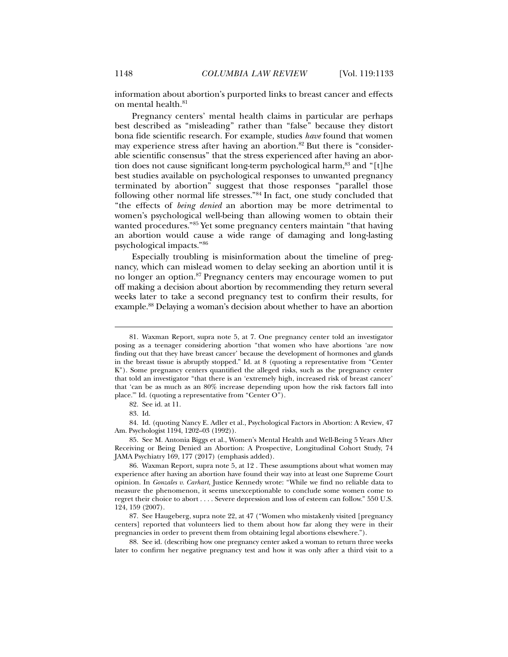information about abortion's purported links to breast cancer and effects on mental health.<sup>81</sup>

Pregnancy centers' mental health claims in particular are perhaps best described as "misleading" rather than "false" because they distort bona fide scientific research. For example, studies *have* found that women may experience stress after having an abortion.<sup>82</sup> But there is "considerable scientific consensus" that the stress experienced after having an abortion does not cause significant long-term psychological harm,<sup>83</sup> and "[t]he best studies available on psychological responses to unwanted pregnancy terminated by abortion" suggest that those responses "parallel those following other normal life stresses."84 In fact, one study concluded that "the effects of *being denied* an abortion may be more detrimental to women's psychological well-being than allowing women to obtain their wanted procedures."85 Yet some pregnancy centers maintain "that having an abortion would cause a wide range of damaging and long-lasting psychological impacts."86

Especially troubling is misinformation about the timeline of pregnancy, which can mislead women to delay seeking an abortion until it is no longer an option.<sup>87</sup> Pregnancy centers may encourage women to put off making a decision about abortion by recommending they return several weeks later to take a second pregnancy test to confirm their results, for example.88 Delaying a woman's decision about whether to have an abortion

l

 84. Id. (quoting Nancy E. Adler et al., Psychological Factors in Abortion: A Review, 47 Am. Psychologist 1194, 1202–03 (1992)).

 85. See M. Antonia Biggs et al., Women's Mental Health and Well-Being 5 Years After Receiving or Being Denied an Abortion: A Prospective, Longitudinal Cohort Study, 74 JAMA Psychiatry 169, 177 (2017) (emphasis added).

 88. See id. (describing how one pregnancy center asked a woman to return three weeks later to confirm her negative pregnancy test and how it was only after a third visit to a

 <sup>81.</sup> Waxman Report, supra note 5, at 7. One pregnancy center told an investigator posing as a teenager considering abortion "that women who have abortions 'are now finding out that they have breast cancer' because the development of hormones and glands in the breast tissue is abruptly stopped." Id. at 8 (quoting a representative from "Center K"). Some pregnancy centers quantified the alleged risks, such as the pregnancy center that told an investigator "that there is an 'extremely high, increased risk of breast cancer' that 'can be as much as an 80% increase depending upon how the risk factors fall into place.'" Id. (quoting a representative from "Center O").

 <sup>82.</sup> See id. at 11.

 <sup>83.</sup> Id.

 <sup>86.</sup> Waxman Report, supra note 5, at 12 . These assumptions about what women may experience after having an abortion have found their way into at least one Supreme Court opinion. In *Gonzales v. Carhart*, Justice Kennedy wrote: "While we find no reliable data to measure the phenomenon, it seems unexceptionable to conclude some women come to regret their choice to abort . . . . Severe depression and loss of esteem can follow." 550 U.S. 124, 159 (2007).

 <sup>87.</sup> See Haugeberg, supra note 22, at 47 ("Women who mistakenly visited [pregnancy centers] reported that volunteers lied to them about how far along they were in their pregnancies in order to prevent them from obtaining legal abortions elsewhere.").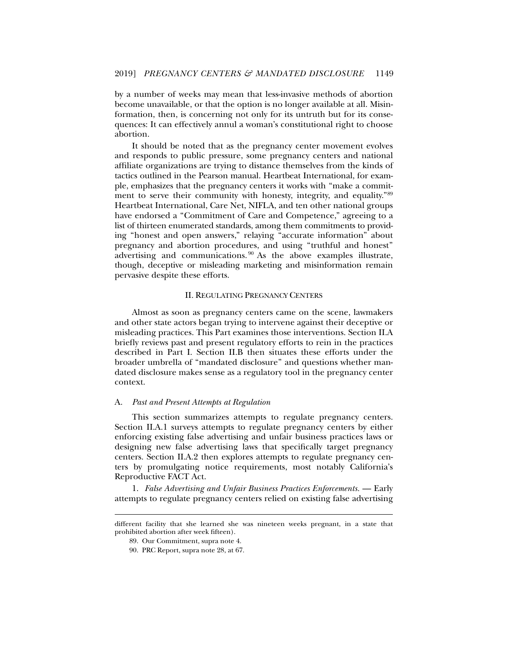by a number of weeks may mean that less-invasive methods of abortion become unavailable, or that the option is no longer available at all. Misinformation, then, is concerning not only for its untruth but for its consequences: It can effectively annul a woman's constitutional right to choose abortion.

It should be noted that as the pregnancy center movement evolves and responds to public pressure, some pregnancy centers and national affiliate organizations are trying to distance themselves from the kinds of tactics outlined in the Pearson manual. Heartbeat International, for example, emphasizes that the pregnancy centers it works with "make a commitment to serve their community with honesty, integrity, and equality."89 Heartbeat International, Care Net, NIFLA, and ten other national groups have endorsed a "Commitment of Care and Competence," agreeing to a list of thirteen enumerated standards, among them commitments to providing "honest and open answers," relaying "accurate information" about pregnancy and abortion procedures, and using "truthful and honest" advertising and communications. 90 As the above examples illustrate, though, deceptive or misleading marketing and misinformation remain pervasive despite these efforts.

## II. REGULATING PREGNANCY CENTERS

Almost as soon as pregnancy centers came on the scene, lawmakers and other state actors began trying to intervene against their deceptive or misleading practices. This Part examines those interventions. Section II.A briefly reviews past and present regulatory efforts to rein in the practices described in Part I. Section II.B then situates these efforts under the broader umbrella of "mandated disclosure" and questions whether mandated disclosure makes sense as a regulatory tool in the pregnancy center context.

#### A. *Past and Present Attempts at Regulation*

This section summarizes attempts to regulate pregnancy centers. Section II.A.1 surveys attempts to regulate pregnancy centers by either enforcing existing false advertising and unfair business practices laws or designing new false advertising laws that specifically target pregnancy centers. Section II.A.2 then explores attempts to regulate pregnancy centers by promulgating notice requirements, most notably California's Reproductive FACT Act.

1. *False Advertising and Unfair Business Practices Enforcements.* — Early attempts to regulate pregnancy centers relied on existing false advertising

different facility that she learned she was nineteen weeks pregnant, in a state that prohibited abortion after week fifteen).

 <sup>89.</sup> Our Commitment, supra note 4.

 <sup>90.</sup> PRC Report, supra note 28, at 67.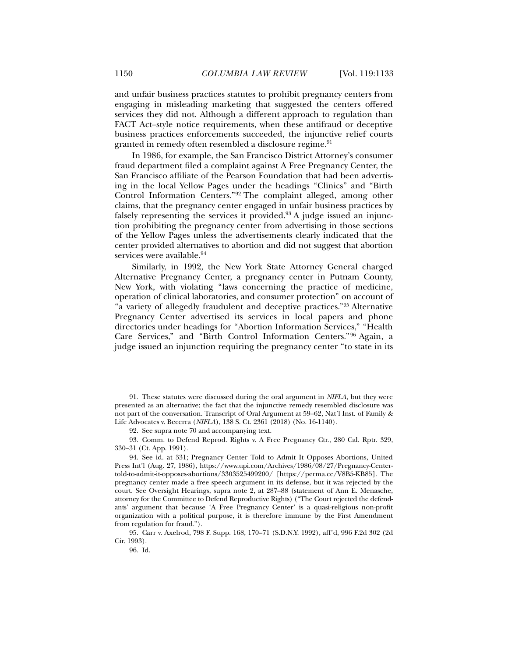and unfair business practices statutes to prohibit pregnancy centers from engaging in misleading marketing that suggested the centers offered services they did not. Although a different approach to regulation than FACT Act–style notice requirements, when these antifraud or deceptive business practices enforcements succeeded, the injunctive relief courts granted in remedy often resembled a disclosure regime.<sup>91</sup>

In 1986, for example, the San Francisco District Attorney's consumer fraud department filed a complaint against A Free Pregnancy Center, the San Francisco affiliate of the Pearson Foundation that had been advertising in the local Yellow Pages under the headings "Clinics" and "Birth Control Information Centers."92 The complaint alleged, among other claims, that the pregnancy center engaged in unfair business practices by falsely representing the services it provided. $93$  A judge issued an injunction prohibiting the pregnancy center from advertising in those sections of the Yellow Pages unless the advertisements clearly indicated that the center provided alternatives to abortion and did not suggest that abortion services were available.<sup>94</sup>

Similarly, in 1992, the New York State Attorney General charged Alternative Pregnancy Center, a pregnancy center in Putnam County, New York, with violating "laws concerning the practice of medicine, operation of clinical laboratories, and consumer protection" on account of "a variety of allegedly fraudulent and deceptive practices."95 Alternative Pregnancy Center advertised its services in local papers and phone directories under headings for "Abortion Information Services," "Health Care Services," and "Birth Control Information Centers."96 Again, a judge issued an injunction requiring the pregnancy center "to state in its

 <sup>91.</sup> These statutes were discussed during the oral argument in *NIFLA*, but they were presented as an alternative; the fact that the injunctive remedy resembled disclosure was not part of the conversation. Transcript of Oral Argument at 59–62, Nat'l Inst. of Family & Life Advocates v. Becerra (*NIFLA*), 138 S. Ct. 2361 (2018) (No. 16-1140).

 <sup>92.</sup> See supra note 70 and accompanying text.

 <sup>93.</sup> Comm. to Defend Reprod. Rights v. A Free Pregnancy Ctr., 280 Cal. Rptr. 329, 330–31 (Ct. App. 1991).

 <sup>94.</sup> See id. at 331; Pregnancy Center Told to Admit It Opposes Abortions, United Press Int'l (Aug. 27, 1986), https://www.upi.com/Archives/1986/08/27/Pregnancy-Centertold-to-admit-it-opposes-abortions/3303525499200/ [https://perma.cc/V8B5-KB85]. The pregnancy center made a free speech argument in its defense, but it was rejected by the court. See Oversight Hearings, supra note 2, at 287–88 (statement of Ann E. Menasche, attorney for the Committee to Defend Reproductive Rights) ("The Court rejected the defendants' argument that because 'A Free Pregnancy Center' is a quasi-religious non-profit organization with a political purpose, it is therefore immune by the First Amendment from regulation for fraud.").

 <sup>95.</sup> Carr v. Axelrod, 798 F. Supp. 168, 170–71 (S.D.N.Y. 1992), aff'd, 996 F.2d 302 (2d Cir. 1993).

 <sup>96.</sup> Id.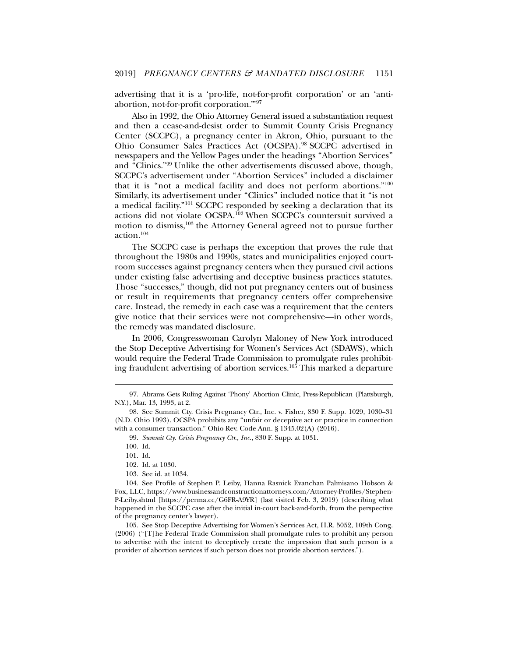advertising that it is a 'pro-life, not-for-profit corporation' or an 'antiabortion, not-for-profit corporation.'"97

Also in 1992, the Ohio Attorney General issued a substantiation request and then a cease-and-desist order to Summit County Crisis Pregnancy Center (SCCPC), a pregnancy center in Akron, Ohio, pursuant to the Ohio Consumer Sales Practices Act (OCSPA).98 SCCPC advertised in newspapers and the Yellow Pages under the headings "Abortion Services" and "Clinics."99 Unlike the other advertisements discussed above, though, SCCPC's advertisement under "Abortion Services" included a disclaimer that it is "not a medical facility and does not perform abortions."100 Similarly, its advertisement under "Clinics" included notice that it "is not a medical facility."101 SCCPC responded by seeking a declaration that its actions did not violate OCSPA.102 When SCCPC's countersuit survived a motion to dismiss,103 the Attorney General agreed not to pursue further action.104

The SCCPC case is perhaps the exception that proves the rule that throughout the 1980s and 1990s, states and municipalities enjoyed courtroom successes against pregnancy centers when they pursued civil actions under existing false advertising and deceptive business practices statutes. Those "successes," though, did not put pregnancy centers out of business or result in requirements that pregnancy centers offer comprehensive care. Instead, the remedy in each case was a requirement that the centers give notice that their services were not comprehensive—in other words, the remedy was mandated disclosure.

In 2006, Congresswoman Carolyn Maloney of New York introduced the Stop Deceptive Advertising for Women's Services Act (SDAWS), which would require the Federal Trade Commission to promulgate rules prohibiting fraudulent advertising of abortion services.105 This marked a departure

99. *Summit Cty. Crisis Pregnancy Ctr., Inc.*, 830 F. Supp. at 1031.

l

101. Id.

102. Id. at 1030.

 <sup>97.</sup> Abrams Gets Ruling Against 'Phony' Abortion Clinic, Press-Republican (Plattsburgh, N.Y.), Mar. 13, 1993, at 2.

 <sup>98.</sup> See Summit Cty. Crisis Pregnancy Ctr., Inc. v. Fisher, 830 F. Supp. 1029, 1030–31 (N.D. Ohio 1993). OCSPA prohibits any "unfair or deceptive act or practice in connection with a consumer transaction." Ohio Rev. Code Ann. § 1345.02(A) (2016).

 <sup>100.</sup> Id.

 <sup>103.</sup> See id. at 1034.

 <sup>104.</sup> See Profile of Stephen P. Leiby, Hanna Rasnick Evanchan Palmisano Hobson & Fox, LLC, https://www.businessandconstructionattorneys.com/Attorney-Profiles/Stephen-P-Leiby.shtml [https://perma.cc/G6FR-A9YR] (last visited Feb. 3, 2019) (describing what happened in the SCCPC case after the initial in-court back-and-forth, from the perspective of the pregnancy center's lawyer).

 <sup>105.</sup> See Stop Deceptive Advertising for Women's Services Act, H.R. 5052, 109th Cong. (2006) ("[T]he Federal Trade Commission shall promulgate rules to prohibit any person to advertise with the intent to deceptively create the impression that such person is a provider of abortion services if such person does not provide abortion services.").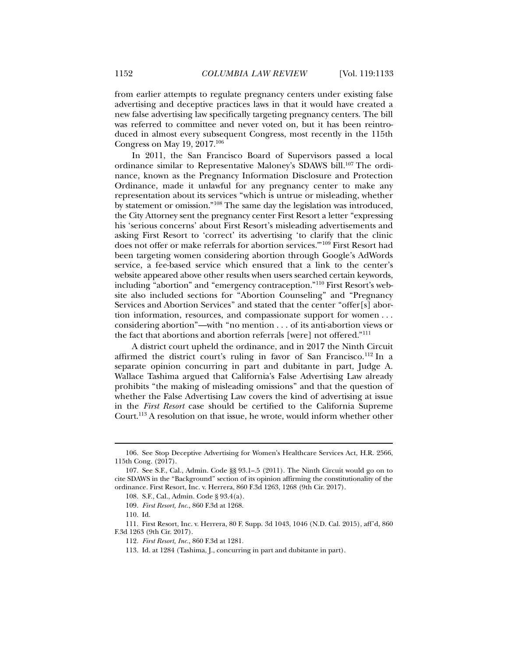from earlier attempts to regulate pregnancy centers under existing false advertising and deceptive practices laws in that it would have created a new false advertising law specifically targeting pregnancy centers. The bill was referred to committee and never voted on, but it has been reintroduced in almost every subsequent Congress, most recently in the 115th Congress on May 19, 2017.106

In 2011, the San Francisco Board of Supervisors passed a local ordinance similar to Representative Maloney's SDAWS bill.107 The ordinance, known as the Pregnancy Information Disclosure and Protection Ordinance, made it unlawful for any pregnancy center to make any representation about its services "which is untrue or misleading, whether by statement or omission."108 The same day the legislation was introduced, the City Attorney sent the pregnancy center First Resort a letter "expressing his 'serious concerns' about First Resort's misleading advertisements and asking First Resort to 'correct' its advertising 'to clarify that the clinic does not offer or make referrals for abortion services.'"109 First Resort had been targeting women considering abortion through Google's AdWords service, a fee-based service which ensured that a link to the center's website appeared above other results when users searched certain keywords, including "abortion" and "emergency contraception."110 First Resort's website also included sections for "Abortion Counseling" and "Pregnancy Services and Abortion Services" and stated that the center "offer[s] abortion information, resources, and compassionate support for women . . . considering abortion"—with "no mention . . . of its anti-abortion views or the fact that abortions and abortion referrals [were] not offered."111

A district court upheld the ordinance, and in 2017 the Ninth Circuit affirmed the district court's ruling in favor of San Francisco.<sup>112</sup> In a separate opinion concurring in part and dubitante in part, Judge A. Wallace Tashima argued that California's False Advertising Law already prohibits "the making of misleading omissions" and that the question of whether the False Advertising Law covers the kind of advertising at issue in the *First Resort* case should be certified to the California Supreme Court.<sup>113</sup> A resolution on that issue, he wrote, would inform whether other

 <sup>106.</sup> See Stop Deceptive Advertising for Women's Healthcare Services Act, H.R. 2566, 115th Cong. (2017).

 <sup>107.</sup> See S.F., Cal., Admin. Code §§ 93.1–.5 (2011). The Ninth Circuit would go on to cite SDAWS in the "Background" section of its opinion affirming the constitutionality of the ordinance. First Resort, Inc. v. Herrera, 860 F.3d 1263, 1268 (9th Cir. 2017).

 <sup>108.</sup> S.F., Cal., Admin. Code § 93.4(a).

<sup>109.</sup> *First Resort, Inc.*, 860 F.3d at 1268.

 <sup>110.</sup> Id.

 <sup>111.</sup> First Resort, Inc. v. Herrera, 80 F. Supp. 3d 1043, 1046 (N.D. Cal. 2015), aff'd, 860 F.3d 1263 (9th Cir. 2017).

<sup>112.</sup> *First Resort, Inc.*, 860 F.3d at 1281.

 <sup>113.</sup> Id. at 1284 (Tashima, J., concurring in part and dubitante in part).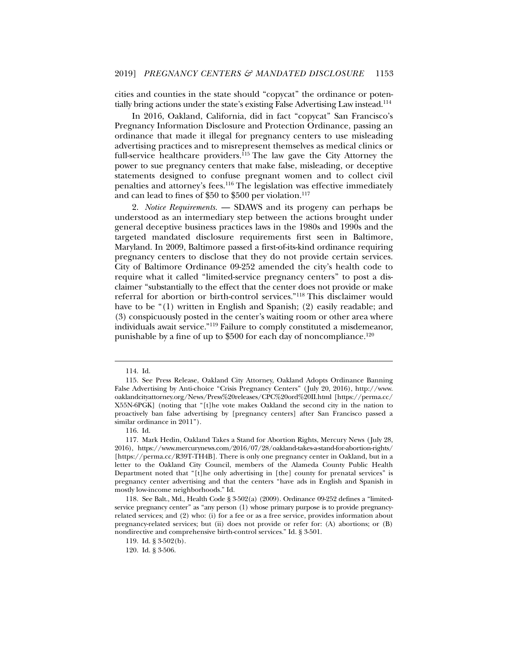cities and counties in the state should "copycat" the ordinance or potentially bring actions under the state's existing False Advertising Law instead.114

In 2016, Oakland, California, did in fact "copycat" San Francisco's Pregnancy Information Disclosure and Protection Ordinance, passing an ordinance that made it illegal for pregnancy centers to use misleading advertising practices and to misrepresent themselves as medical clinics or full-service healthcare providers.115 The law gave the City Attorney the power to sue pregnancy centers that make false, misleading, or deceptive statements designed to confuse pregnant women and to collect civil penalties and attorney's fees.116 The legislation was effective immediately and can lead to fines of \$50 to \$500 per violation.<sup>117</sup>

2. *Notice Requirements.* — SDAWS and its progeny can perhaps be understood as an intermediary step between the actions brought under general deceptive business practices laws in the 1980s and 1990s and the targeted mandated disclosure requirements first seen in Baltimore, Maryland. In 2009, Baltimore passed a first-of-its-kind ordinance requiring pregnancy centers to disclose that they do not provide certain services. City of Baltimore Ordinance 09-252 amended the city's health code to require what it called "limited-service pregnancy centers" to post a disclaimer "substantially to the effect that the center does not provide or make referral for abortion or birth-control services."118 This disclaimer would have to be "(1) written in English and Spanish; (2) easily readable; and (3) conspicuously posted in the center's waiting room or other area where individuals await service."119 Failure to comply constituted a misdemeanor, punishable by a fine of up to  $$500$  for each day of noncompliance.<sup>120</sup>

 <sup>114.</sup> Id.

 <sup>115.</sup> See Press Release, Oakland City Attorney, Oakland Adopts Ordinance Banning False Advertising by Anti-choice "Crisis Pregnancy Centers" (July 20, 2016), http://www. oaklandcityattorney.org/News/Press%20releases/CPC%20ord%20II.html [https://perma.cc/ X55N-6PGK] (noting that "[t]he vote makes Oakland the second city in the nation to proactively ban false advertising by [pregnancy centers] after San Francisco passed a similar ordinance in 2011").

 <sup>116.</sup> Id.

 <sup>117.</sup> Mark Hedin, Oakland Takes a Stand for Abortion Rights, Mercury News (July 28, 2016), https://www.mercurynews.com/2016/07/28/oakland-takes-a-stand-for-abortion-rights/ [https://perma.cc/R39T-TH4B]. There is only one pregnancy center in Oakland, but in a letter to the Oakland City Council, members of the Alameda County Public Health Department noted that "[t]he only advertising in [the] county for prenatal services" is pregnancy center advertising and that the centers "have ads in English and Spanish in mostly low-income neighborhoods." Id.

 <sup>118.</sup> See Balt., Md., Health Code § 3-502(a) (2009). Ordinance 09-252 defines a "limitedservice pregnancy center" as "any person (1) whose primary purpose is to provide pregnancyrelated services; and (2) who: (i) for a fee or as a free service, provides information about pregnancy-related services; but (ii) does not provide or refer for: (A) abortions; or (B) nondirective and comprehensive birth-control services." Id. § 3-501.

 <sup>119.</sup> Id. § 3-502(b).

 <sup>120.</sup> Id. § 3-506.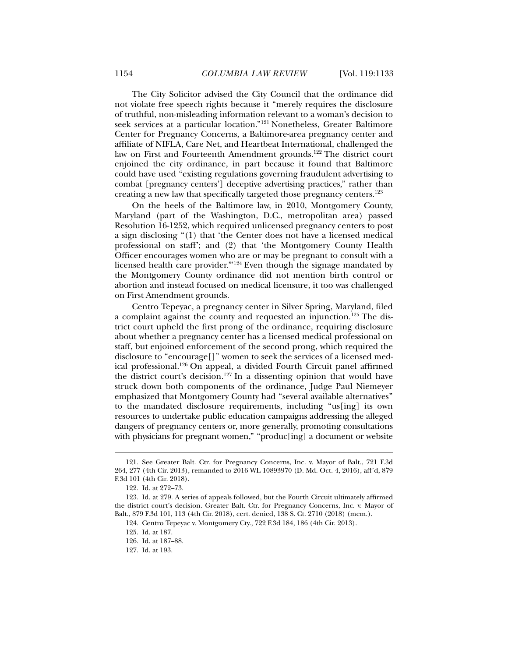The City Solicitor advised the City Council that the ordinance did not violate free speech rights because it "merely requires the disclosure of truthful, non-misleading information relevant to a woman's decision to seek services at a particular location."121 Nonetheless, Greater Baltimore Center for Pregnancy Concerns, a Baltimore-area pregnancy center and affiliate of NIFLA, Care Net, and Heartbeat International, challenged the law on First and Fourteenth Amendment grounds.<sup>122</sup> The district court enjoined the city ordinance, in part because it found that Baltimore could have used "existing regulations governing fraudulent advertising to combat [pregnancy centers'] deceptive advertising practices," rather than creating a new law that specifically targeted those pregnancy centers.123

On the heels of the Baltimore law, in 2010, Montgomery County, Maryland (part of the Washington, D.C., metropolitan area) passed Resolution 16-1252, which required unlicensed pregnancy centers to post a sign disclosing "(1) that 'the Center does not have a licensed medical professional on staff'; and (2) that 'the Montgomery County Health Officer encourages women who are or may be pregnant to consult with a licensed health care provider.'"124 Even though the signage mandated by the Montgomery County ordinance did not mention birth control or abortion and instead focused on medical licensure, it too was challenged on First Amendment grounds.

Centro Tepeyac, a pregnancy center in Silver Spring, Maryland, filed a complaint against the county and requested an injunction.125 The district court upheld the first prong of the ordinance, requiring disclosure about whether a pregnancy center has a licensed medical professional on staff, but enjoined enforcement of the second prong, which required the disclosure to "encourage[]" women to seek the services of a licensed medical professional.126 On appeal, a divided Fourth Circuit panel affirmed the district court's decision.127 In a dissenting opinion that would have struck down both components of the ordinance, Judge Paul Niemeyer emphasized that Montgomery County had "several available alternatives" to the mandated disclosure requirements, including "us[ing] its own resources to undertake public education campaigns addressing the alleged dangers of pregnancy centers or, more generally, promoting consultations with physicians for pregnant women," "produc[ing] a document or website

l

127. Id. at 193.

 <sup>121.</sup> See Greater Balt. Ctr. for Pregnancy Concerns, Inc. v. Mayor of Balt., 721 F.3d 264, 277 (4th Cir. 2013), remanded to 2016 WL 10893970 (D. Md. Oct. 4, 2016), aff'd, 879 F.3d 101 (4th Cir. 2018).

<sup>122.</sup> Id. at 272–73.

 <sup>123.</sup> Id. at 279. A series of appeals followed, but the Fourth Circuit ultimately affirmed the district court's decision. Greater Balt. Ctr. for Pregnancy Concerns, Inc. v. Mayor of Balt., 879 F.3d 101, 113 (4th Cir. 2018), cert. denied, 138 S. Ct. 2710 (2018) (mem.).

 <sup>124.</sup> Centro Tepeyac v. Montgomery Cty., 722 F.3d 184, 186 (4th Cir. 2013).

 <sup>125.</sup> Id. at 187.

 <sup>126.</sup> Id. at 187–88.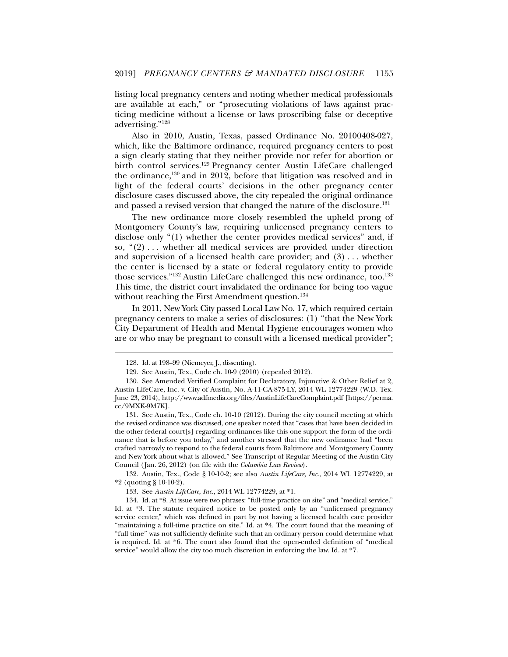listing local pregnancy centers and noting whether medical professionals are available at each," or "prosecuting violations of laws against practicing medicine without a license or laws proscribing false or deceptive advertising."128

Also in 2010, Austin, Texas, passed Ordinance No. 20100408-027, which, like the Baltimore ordinance, required pregnancy centers to post a sign clearly stating that they neither provide nor refer for abortion or birth control services.129 Pregnancy center Austin LifeCare challenged the ordinance, $130$  and in 2012, before that litigation was resolved and in light of the federal courts' decisions in the other pregnancy center disclosure cases discussed above, the city repealed the original ordinance and passed a revised version that changed the nature of the disclosure.<sup>131</sup>

The new ordinance more closely resembled the upheld prong of Montgomery County's law, requiring unlicensed pregnancy centers to disclose only "(1) whether the center provides medical services" and, if so,  $(2)$ ... whether all medical services are provided under direction and supervision of a licensed health care provider; and  $(3)$ ... whether the center is licensed by a state or federal regulatory entity to provide those services."<sup>132</sup> Austin LifeCare challenged this new ordinance, too.<sup>133</sup> This time, the district court invalidated the ordinance for being too vague without reaching the First Amendment question.<sup>134</sup>

In 2011, New York City passed Local Law No. 17, which required certain pregnancy centers to make a series of disclosures: (1) "that the New York City Department of Health and Mental Hygiene encourages women who are or who may be pregnant to consult with a licensed medical provider";

l

 132. Austin, Tex., Code § 10-10-2; see also *Austin LifeCare, Inc.*, 2014 WL 12774229, at \*2 (quoting § 10-10-2).

 <sup>128.</sup> Id. at 198–99 (Niemeyer, J., dissenting).

 <sup>129.</sup> See Austin, Tex., Code ch. 10-9 (2010) (repealed 2012).

 <sup>130.</sup> See Amended Verified Complaint for Declaratory, Injunctive & Other Relief at 2, Austin LifeCare, Inc. v. City of Austin, No. A-11-CA-875-LY, 2014 WL 12774229 (W.D. Tex. June 23, 2014), http://www.adfmedia.org/files/AustinLifeCareComplaint.pdf [https://perma. cc/9MXK-9M7K].

 <sup>131.</sup> See Austin, Tex., Code ch. 10-10 (2012). During the city council meeting at which the revised ordinance was discussed, one speaker noted that "cases that have been decided in the other federal court[s] regarding ordinances like this one support the form of the ordinance that is before you today," and another stressed that the new ordinance had "been crafted narrowly to respond to the federal courts from Baltimore and Montgomery County and New York about what is allowed." See Transcript of Regular Meeting of the Austin City Council (Jan. 26, 2012) (on file with the *Columbia Law Review*).

 <sup>133.</sup> See *Austin LifeCare, Inc.*, 2014 WL 12774229, at \*1.

 <sup>134.</sup> Id. at \*8. At issue were two phrases: "full-time practice on site" and "medical service." Id. at \*3. The statute required notice to be posted only by an "unlicensed pregnancy service center," which was defined in part by not having a licensed health care provider "maintaining a full-time practice on site." Id. at \*4. The court found that the meaning of "full time" was not sufficiently definite such that an ordinary person could determine what is required. Id. at \*6. The court also found that the open-ended definition of "medical service" would allow the city too much discretion in enforcing the law. Id. at \*7.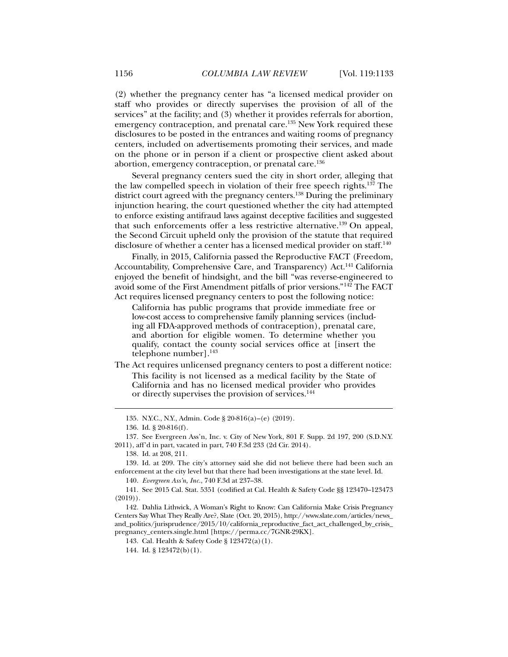(2) whether the pregnancy center has "a licensed medical provider on staff who provides or directly supervises the provision of all of the services" at the facility; and (3) whether it provides referrals for abortion, emergency contraception, and prenatal care.<sup>135</sup> New York required these disclosures to be posted in the entrances and waiting rooms of pregnancy centers, included on advertisements promoting their services, and made on the phone or in person if a client or prospective client asked about abortion, emergency contraception, or prenatal care.<sup>136</sup>

Several pregnancy centers sued the city in short order, alleging that the law compelled speech in violation of their free speech rights.137 The district court agreed with the pregnancy centers.<sup>138</sup> During the preliminary injunction hearing, the court questioned whether the city had attempted to enforce existing antifraud laws against deceptive facilities and suggested that such enforcements offer a less restrictive alternative.<sup>139</sup> On appeal, the Second Circuit upheld only the provision of the statute that required disclosure of whether a center has a licensed medical provider on staff.<sup>140</sup>

Finally, in 2015, California passed the Reproductive FACT (Freedom, Accountability, Comprehensive Care, and Transparency) Act.141 California enjoyed the benefit of hindsight, and the bill "was reverse-engineered to avoid some of the First Amendment pitfalls of prior versions."142 The FACT Act requires licensed pregnancy centers to post the following notice:

California has public programs that provide immediate free or low-cost access to comprehensive family planning services (including all FDA-approved methods of contraception), prenatal care, and abortion for eligible women. To determine whether you qualify, contact the county social services office at [insert the telephone number].<sup>143</sup>

The Act requires unlicensed pregnancy centers to post a different notice: This facility is not licensed as a medical facility by the State of California and has no licensed medical provider who provides or directly supervises the provision of services.<sup>144</sup>

l

 139. Id. at 209. The city's attorney said she did not believe there had been such an enforcement at the city level but that there had been investigations at the state level. Id.

140. *Evergreen Ass'n, Inc.*, 740 F.3d at 237–38.

 141. See 2015 Cal. Stat. 5351 (codified at Cal. Health & Safety Code §§ 123470–123473  $(2019)$ .

 142. Dahlia Lithwick, A Woman's Right to Know: Can California Make Crisis Pregnancy Centers Say What They Really Are?, Slate (Oct. 20, 2015), http://www.slate.com/articles/news\_ and\_politics/jurisprudence/2015/10/california\_reproductive\_fact\_act\_challenged\_by\_crisis\_ pregnancy\_centers.single.html [https://perma.cc/7GNR-29KX].

143. Cal. Health & Safety Code § 123472(a)(1).

144. Id. § 123472(b)(1).

 <sup>135.</sup> N.Y.C., N.Y., Admin. Code § 20-816(a)–(e) (2019).

 <sup>136.</sup> Id. § 20-816(f).

 <sup>137.</sup> See Evergreen Ass'n, Inc. v. City of New York, 801 F. Supp. 2d 197, 200 (S.D.N.Y. 2011), aff'd in part, vacated in part, 740 F.3d 233 (2d Cir. 2014).

 <sup>138.</sup> Id. at 208, 211.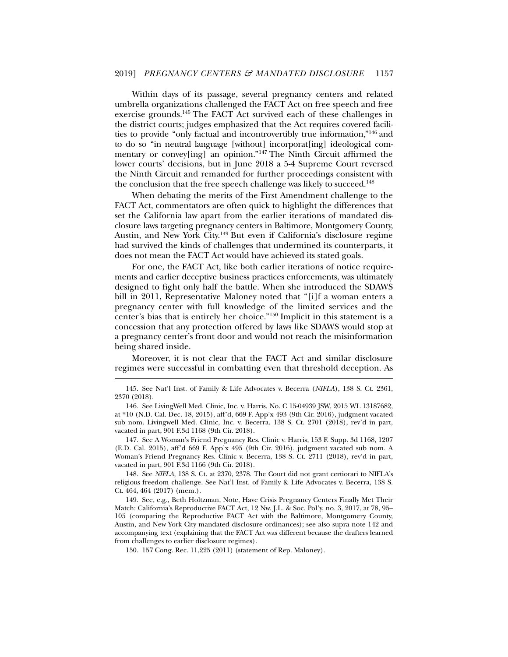Within days of its passage, several pregnancy centers and related umbrella organizations challenged the FACT Act on free speech and free exercise grounds.145 The FACT Act survived each of these challenges in the district courts; judges emphasized that the Act requires covered facilities to provide "only factual and incontrovertibly true information,"146 and to do so "in neutral language [without] incorporat[ing] ideological commentary or convey[ing] an opinion."147 The Ninth Circuit affirmed the lower courts' decisions, but in June 2018 a 5-4 Supreme Court reversed the Ninth Circuit and remanded for further proceedings consistent with the conclusion that the free speech challenge was likely to succeed.<sup>148</sup>

When debating the merits of the First Amendment challenge to the FACT Act, commentators are often quick to highlight the differences that set the California law apart from the earlier iterations of mandated disclosure laws targeting pregnancy centers in Baltimore, Montgomery County, Austin, and New York City.149 But even if California's disclosure regime had survived the kinds of challenges that undermined its counterparts, it does not mean the FACT Act would have achieved its stated goals.

For one, the FACT Act, like both earlier iterations of notice requirements and earlier deceptive business practices enforcements, was ultimately designed to fight only half the battle. When she introduced the SDAWS bill in 2011, Representative Maloney noted that "[i]f a woman enters a pregnancy center with full knowledge of the limited services and the center's bias that is entirely her choice."150 Implicit in this statement is a concession that any protection offered by laws like SDAWS would stop at a pregnancy center's front door and would not reach the misinformation being shared inside.

Moreover, it is not clear that the FACT Act and similar disclosure regimes were successful in combatting even that threshold deception. As

 <sup>145.</sup> See Nat'l Inst. of Family & Life Advocates v. Becerra (*NIFLA*), 138 S. Ct. 2361, 2370 (2018).

 <sup>146.</sup> See LivingWell Med. Clinic, Inc. v. Harris, No. C 15-04939 JSW, 2015 WL 13187682, at \*10 (N.D. Cal. Dec. 18, 2015), aff'd, 669 F. App'x 493 (9th Cir. 2016), judgment vacated sub nom. Livingwell Med. Clinic, Inc. v. Becerra, 138 S. Ct. 2701 (2018), rev'd in part, vacated in part, 901 F.3d 1168 (9th Cir. 2018).

 <sup>147.</sup> See A Woman's Friend Pregnancy Res. Clinic v. Harris, 153 F. Supp. 3d 1168, 1207 (E.D. Cal. 2015), aff'd 669 F. App'x 495 (9th Cir. 2016), judgment vacated sub nom. A Woman's Friend Pregnancy Res. Clinic v. Becerra, 138 S. Ct. 2711 (2018), rev'd in part, vacated in part, 901 F.3d 1166 (9th Cir. 2018).

 <sup>148.</sup> See *NIFLA*, 138 S. Ct. at 2370, 2378. The Court did not grant certiorari to NIFLA's religious freedom challenge. See Nat'l Inst. of Family & Life Advocates v. Becerra, 138 S. Ct. 464, 464 (2017) (mem.).

 <sup>149.</sup> See, e.g., Beth Holtzman, Note, Have Crisis Pregnancy Centers Finally Met Their Match: California's Reproductive FACT Act, 12 Nw. J.L. & Soc. Pol'y, no. 3, 2017, at 78, 95– 105 (comparing the Reproductive FACT Act with the Baltimore, Montgomery County, Austin, and New York City mandated disclosure ordinances); see also supra note 142 and accompanying text (explaining that the FACT Act was different because the drafters learned from challenges to earlier disclosure regimes).

 <sup>150. 157</sup> Cong. Rec. 11,225 (2011) (statement of Rep. Maloney).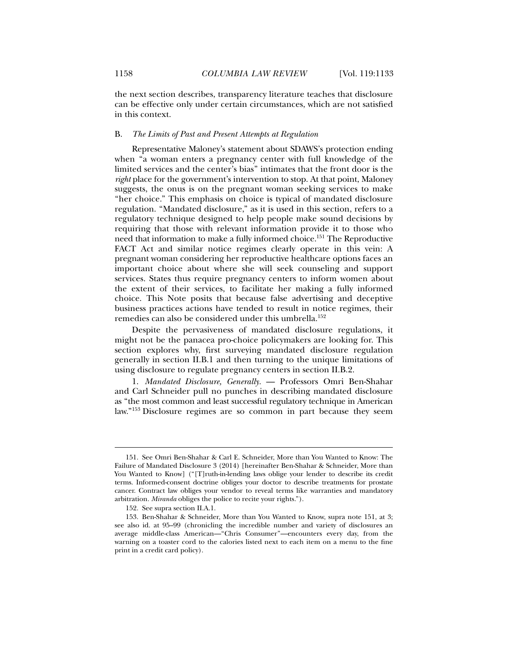the next section describes, transparency literature teaches that disclosure can be effective only under certain circumstances, which are not satisfied in this context.

## B. *The Limits of Past and Present Attempts at Regulation*

Representative Maloney's statement about SDAWS's protection ending when "a woman enters a pregnancy center with full knowledge of the limited services and the center's bias" intimates that the front door is the *right* place for the government's intervention to stop. At that point, Maloney suggests, the onus is on the pregnant woman seeking services to make "her choice." This emphasis on choice is typical of mandated disclosure regulation. "Mandated disclosure," as it is used in this section, refers to a regulatory technique designed to help people make sound decisions by requiring that those with relevant information provide it to those who need that information to make a fully informed choice.151 The Reproductive FACT Act and similar notice regimes clearly operate in this vein: A pregnant woman considering her reproductive healthcare options faces an important choice about where she will seek counseling and support services. States thus require pregnancy centers to inform women about the extent of their services, to facilitate her making a fully informed choice. This Note posits that because false advertising and deceptive business practices actions have tended to result in notice regimes, their remedies can also be considered under this umbrella.152

Despite the pervasiveness of mandated disclosure regulations, it might not be the panacea pro-choice policymakers are looking for. This section explores why, first surveying mandated disclosure regulation generally in section II.B.1 and then turning to the unique limitations of using disclosure to regulate pregnancy centers in section II.B.2.

1. *Mandated Disclosure, Generally.* — Professors Omri Ben-Shahar and Carl Schneider pull no punches in describing mandated disclosure as "the most common and least successful regulatory technique in American law."153 Disclosure regimes are so common in part because they seem

 <sup>151.</sup> See Omri Ben-Shahar & Carl E. Schneider, More than You Wanted to Know: The Failure of Mandated Disclosure 3 (2014) [hereinafter Ben-Shahar & Schneider, More than You Wanted to Know] ("[T]ruth-in-lending laws oblige your lender to describe its credit terms. Informed-consent doctrine obliges your doctor to describe treatments for prostate cancer. Contract law obliges your vendor to reveal terms like warranties and mandatory arbitration. *Miranda* obliges the police to recite your rights.").

 <sup>152.</sup> See supra section II.A.1.

 <sup>153.</sup> Ben-Shahar & Schneider, More than You Wanted to Know, supra note 151, at 3; see also id. at 95–99 (chronicling the incredible number and variety of disclosures an average middle-class American—"Chris Consumer"—encounters every day, from the warning on a toaster cord to the calories listed next to each item on a menu to the fine print in a credit card policy).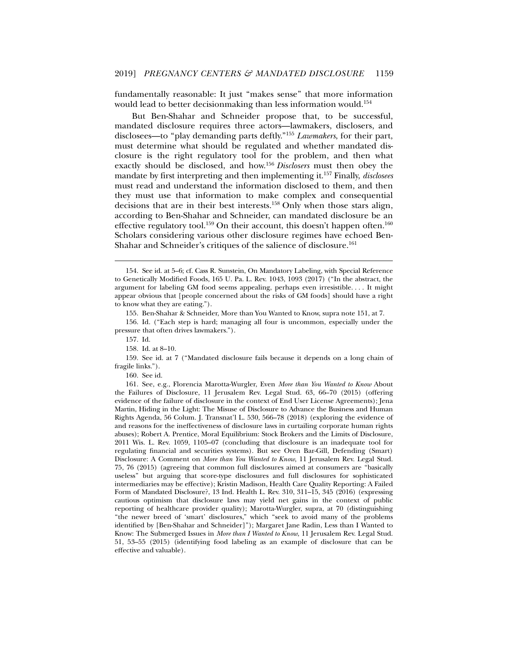fundamentally reasonable: It just "makes sense" that more information would lead to better decisionmaking than less information would.154

But Ben-Shahar and Schneider propose that, to be successful, mandated disclosure requires three actors—lawmakers, disclosers, and disclosees—to "play demanding parts deftly."155 *Lawmakers*, for their part, must determine what should be regulated and whether mandated disclosure is the right regulatory tool for the problem, and then what exactly should be disclosed, and how.156 *Disclosers* must then obey the mandate by first interpreting and then implementing it.157 Finally, *disclosees* must read and understand the information disclosed to them, and then they must use that information to make complex and consequential decisions that are in their best interests.158 Only when those stars align, according to Ben-Shahar and Schneider, can mandated disclosure be an effective regulatory tool.<sup>159</sup> On their account, this doesn't happen often.<sup>160</sup> Scholars considering various other disclosure regimes have echoed Ben-Shahar and Schneider's critiques of the salience of disclosure.<sup>161</sup>

l

160. See id.

 <sup>154.</sup> See id. at 5–6; cf. Cass R. Sunstein, On Mandatory Labeling, with Special Reference to Genetically Modified Foods, 165 U. Pa. L. Rev. 1043, 1093 (2017) ("In the abstract, the argument for labeling GM food seems appealing, perhaps even irresistible. . . . It might appear obvious that [people concerned about the risks of GM foods] should have a right to know what they are eating.").

 <sup>155.</sup> Ben-Shahar & Schneider, More than You Wanted to Know, supra note 151, at 7.

 <sup>156.</sup> Id. ("Each step is hard; managing all four is uncommon, especially under the pressure that often drives lawmakers.").

 <sup>157.</sup> Id.

 <sup>158.</sup> Id. at 8–10.

 <sup>159.</sup> See id. at 7 ("Mandated disclosure fails because it depends on a long chain of fragile links.").

 <sup>161.</sup> See, e.g., Florencia Marotta-Wurgler, Even *More than You Wanted to Know* About the Failures of Disclosure, 11 Jerusalem Rev. Legal Stud. 63, 66–70 (2015) (offering evidence of the failure of disclosure in the context of End User License Agreements); Jena Martin, Hiding in the Light: The Misuse of Disclosure to Advance the Business and Human Rights Agenda, 56 Colum. J. Transnat'l L. 530, 566–78 (2018) (exploring the evidence of and reasons for the ineffectiveness of disclosure laws in curtailing corporate human rights abuses); Robert A. Prentice, Moral Equilibrium: Stock Brokers and the Limits of Disclosure, 2011 Wis. L. Rev. 1059, 1105–07 (concluding that disclosure is an inadequate tool for regulating financial and securities systems). But see Oren Bar-Gill, Defending (Smart) Disclosure: A Comment on *More than You Wanted to Know*, 11 Jerusalem Rev. Legal Stud. 75, 76 (2015) (agreeing that common full disclosures aimed at consumers are "basically useless" but arguing that score-type disclosures and full disclosures for sophisticated intermediaries may be effective); Kristin Madison, Health Care Quality Reporting: A Failed Form of Mandated Disclosure?, 13 Ind. Health L. Rev. 310, 311–15, 345 (2016) (expressing cautious optimism that disclosure laws may yield net gains in the context of public reporting of healthcare provider quality); Marotta-Wurgler, supra, at 70 (distinguishing "the newer breed of 'smart' disclosures," which "seek to avoid many of the problems identified by [Ben-Shahar and Schneider]"); Margaret Jane Radin, Less than I Wanted to Know: The Submerged Issues in *More than I Wanted to Know*, 11 Jerusalem Rev. Legal Stud. 51, 53–55 (2015) (identifying food labeling as an example of disclosure that can be effective and valuable).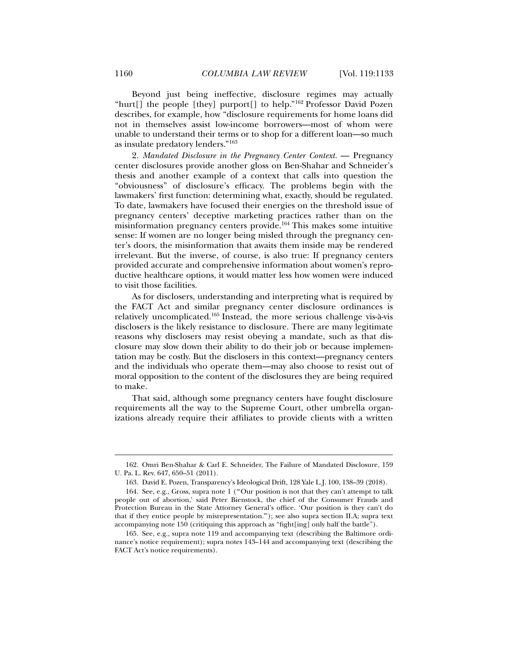Beyond just being ineffective, disclosure regimes may actually "hurt[] the people [they] purport[] to help."162 Professor David Pozen describes, for example, how "disclosure requirements for home loans did not in themselves assist low-income borrowers—most of whom were unable to understand their terms or to shop for a different loan—so much as insulate predatory lenders."163

2. Mandated Disclosure in the Pregnancy Center Context. — Pregnancy center disclosures provide another gloss on Ben-Shahar and Schneider's thesis and another example of a context that calls into question the "obviousness" of disclosure's efficacy. The problems begin with the lawmakers' first function: determining what, exactly, should be regulated. To date, lawmakers have focused their energies on the threshold issue of pregnancy centers' deceptive marketing practices rather than on the misinformation pregnancy centers provide.164 This makes some intuitive sense: If women are no longer being misled through the pregnancy center's doors, the misinformation that awaits them inside may be rendered irrelevant. But the inverse, of course, is also true: If pregnancy centers provided accurate and comprehensive information about women's reproductive healthcare options, it would matter less how women were induced to visit those facilities.

As for disclosers, understanding and interpreting what is required by the FACT Act and similar pregnancy center disclosure ordinances is relatively uncomplicated.165 Instead, the more serious challenge vis-à-vis disclosers is the likely resistance to disclosure. There are many legitimate reasons why disclosers may resist obeying a mandate, such as that disclosure may slow down their ability to do their job or because implementation may be costly. But the disclosers in this context—pregnancy centers and the individuals who operate them—may also choose to resist out of moral opposition to the content of the disclosures they are being required to make.

That said, although some pregnancy centers have fought disclosure requirements all the way to the Supreme Court, other umbrella organizations already require their affiliates to provide clients with a written

 <sup>162.</sup> Omri Ben-Shahar & Carl E. Schneider, The Failure of Mandated Disclosure, 159 U. Pa. L. Rev. 647, 650–51 (2011).

 <sup>163.</sup> David E. Pozen, Transparency's Ideological Drift, 128 Yale L.J. 100, 138–39 (2018).

 <sup>164.</sup> See, e.g., Gross, supra note 1 ("'Our position is not that they can't attempt to talk people out of abortion,' said Peter Bienstock, the chief of the Consumer Frauds and Protection Bureau in the State Attorney General's office. 'Our position is they can't do that if they entice people by misrepresentation.'"); see also supra section II.A; supra text accompanying note 150 (critiquing this approach as "fight[ing] only half the battle").

 <sup>165.</sup> See, e.g., supra note 119 and accompanying text (describing the Baltimore ordinance's notice requirement); supra notes 143–144 and accompanying text (describing the FACT Act's notice requirements).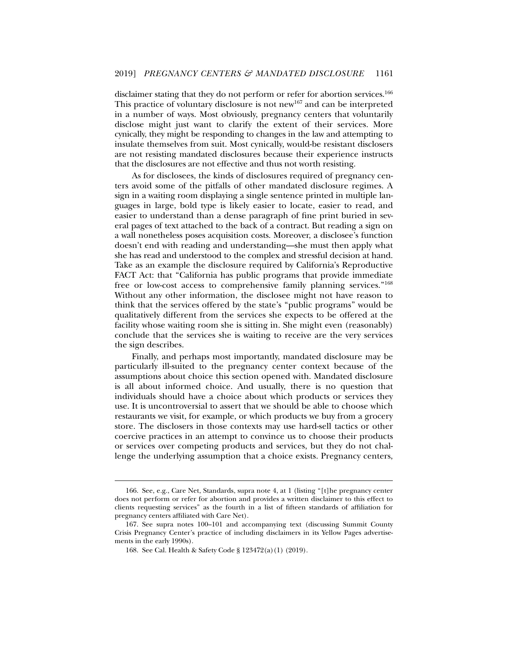disclaimer stating that they do not perform or refer for abortion services.<sup>166</sup> This practice of voluntary disclosure is not new<sup>167</sup> and can be interpreted in a number of ways. Most obviously, pregnancy centers that voluntarily disclose might just want to clarify the extent of their services. More cynically, they might be responding to changes in the law and attempting to insulate themselves from suit. Most cynically, would-be resistant disclosers are not resisting mandated disclosures because their experience instructs that the disclosures are not effective and thus not worth resisting.

As for disclosees, the kinds of disclosures required of pregnancy centers avoid some of the pitfalls of other mandated disclosure regimes. A sign in a waiting room displaying a single sentence printed in multiple languages in large, bold type is likely easier to locate, easier to read, and easier to understand than a dense paragraph of fine print buried in several pages of text attached to the back of a contract. But reading a sign on a wall nonetheless poses acquisition costs. Moreover, a disclosee's function doesn't end with reading and understanding—she must then apply what she has read and understood to the complex and stressful decision at hand. Take as an example the disclosure required by California's Reproductive FACT Act: that "California has public programs that provide immediate free or low-cost access to comprehensive family planning services."168 Without any other information, the disclosee might not have reason to think that the services offered by the state's "public programs" would be qualitatively different from the services she expects to be offered at the facility whose waiting room she is sitting in. She might even (reasonably) conclude that the services she is waiting to receive are the very services the sign describes.

Finally, and perhaps most importantly, mandated disclosure may be particularly ill-suited to the pregnancy center context because of the assumptions about choice this section opened with. Mandated disclosure is all about informed choice. And usually, there is no question that individuals should have a choice about which products or services they use. It is uncontroversial to assert that we should be able to choose which restaurants we visit, for example, or which products we buy from a grocery store. The disclosers in those contexts may use hard-sell tactics or other coercive practices in an attempt to convince us to choose their products or services over competing products and services, but they do not challenge the underlying assumption that a choice exists. Pregnancy centers,

 <sup>166.</sup> See, e.g., Care Net, Standards, supra note 4, at 1 (listing "[t]he pregnancy center does not perform or refer for abortion and provides a written disclaimer to this effect to clients requesting services" as the fourth in a list of fifteen standards of affiliation for pregnancy centers affiliated with Care Net).

 <sup>167.</sup> See supra notes 100–101 and accompanying text (discussing Summit County Crisis Pregnancy Center's practice of including disclaimers in its Yellow Pages advertisements in the early 1990s).

 <sup>168.</sup> See Cal. Health & Safety Code § 123472(a)(1) (2019).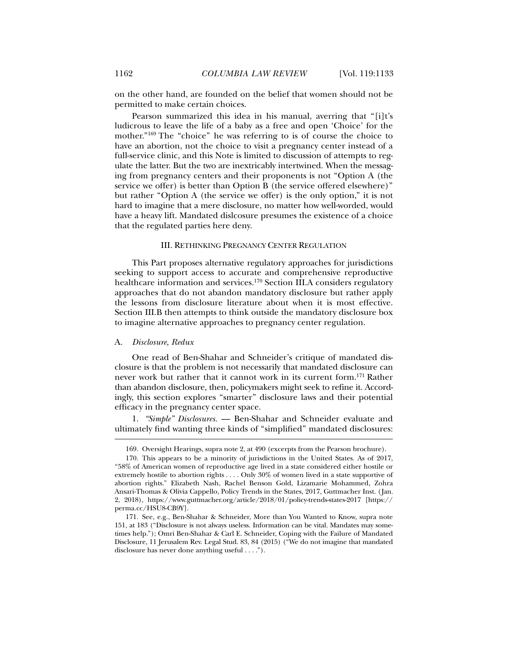on the other hand, are founded on the belief that women should not be permitted to make certain choices.

Pearson summarized this idea in his manual, averring that "[i]t's ludicrous to leave the life of a baby as a free and open 'Choice' for the mother."169 The "choice" he was referring to is of course the choice to have an abortion, not the choice to visit a pregnancy center instead of a full-service clinic, and this Note is limited to discussion of attempts to regulate the latter. But the two are inextricably intertwined. When the messaging from pregnancy centers and their proponents is not "Option A (the service we offer) is better than Option B (the service offered elsewhere)" but rather "Option A (the service we offer) is the only option," it is not hard to imagine that a mere disclosure, no matter how well-worded, would have a heavy lift. Mandated dislcosure presumes the existence of a choice that the regulated parties here deny.

# III. RETHINKING PREGNANCY CENTER REGULATION

This Part proposes alternative regulatory approaches for jurisdictions seeking to support access to accurate and comprehensive reproductive healthcare information and services.<sup>170</sup> Section III.A considers regulatory approaches that do not abandon mandatory disclosure but rather apply the lessons from disclosure literature about when it is most effective. Section III.B then attempts to think outside the mandatory disclosure box to imagine alternative approaches to pregnancy center regulation.

## A. *Disclosure, Redux*

l

One read of Ben-Shahar and Schneider's critique of mandated disclosure is that the problem is not necessarily that mandated disclosure can never work but rather that it cannot work in its current form.<sup>171</sup> Rather than abandon disclosure, then, policymakers might seek to refine it. Accordingly, this section explores "smarter" disclosure laws and their potential efficacy in the pregnancy center space.

1. *"Simple" Disclosures.* — Ben-Shahar and Schneider evaluate and ultimately find wanting three kinds of "simplified" mandated disclosures:

 <sup>169.</sup> Oversight Hearings, supra note 2, at 490 (excerpts from the Pearson brochure).

 <sup>170.</sup> This appears to be a minority of jurisdictions in the United States. As of 2017, "58% of American women of reproductive age lived in a state considered either hostile or extremely hostile to abortion rights . . . . Only 30% of women lived in a state supportive of abortion rights." Elizabeth Nash, Rachel Benson Gold, Lizamarie Mohammed, Zohra Ansari-Thomas & Olivia Cappello, Policy Trends in the States, 2017, Guttmacher Inst. (Jan. 2, 2018), https://www.guttmacher.org/article/2018/01/policy-trends-states-2017 [https:// perma.cc/HSU8-CB9Y].

 <sup>171.</sup> See, e.g., Ben-Shahar & Schneider, More than You Wanted to Know, supra note 151, at 183 ("Disclosure is not always useless. Information can be vital. Mandates may sometimes help."); Omri Ben-Shahar & Carl E. Schneider, Coping with the Failure of Mandated Disclosure, 11 Jerusalem Rev. Legal Stud. 83, 84 (2015) ("We do not imagine that mandated disclosure has never done anything useful . . . .").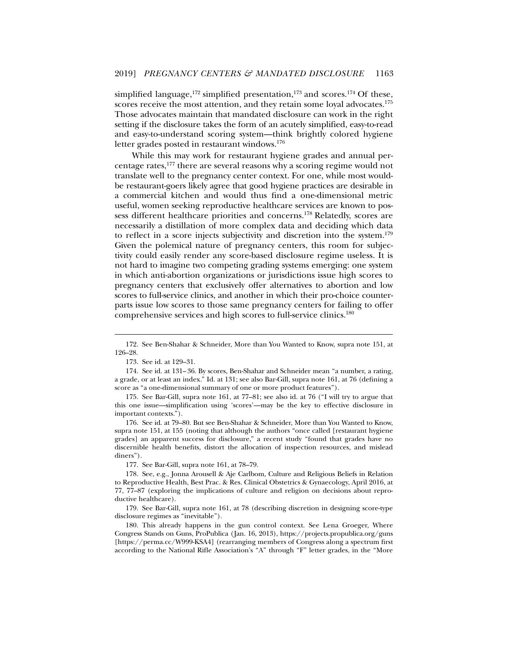simplified language,<sup>172</sup> simplified presentation,<sup>173</sup> and scores.<sup>174</sup> Of these, scores receive the most attention, and they retain some loyal advocates.<sup>175</sup> Those advocates maintain that mandated disclosure can work in the right setting if the disclosure takes the form of an acutely simplified, easy-to-read and easy-to-understand scoring system—think brightly colored hygiene letter grades posted in restaurant windows.<sup>176</sup>

While this may work for restaurant hygiene grades and annual percentage rates,177 there are several reasons why a scoring regime would not translate well to the pregnancy center context. For one, while most wouldbe restaurant-goers likely agree that good hygiene practices are desirable in a commercial kitchen and would thus find a one-dimensional metric useful, women seeking reproductive healthcare services are known to possess different healthcare priorities and concerns.178 Relatedly, scores are necessarily a distillation of more complex data and deciding which data to reflect in a score injects subjectivity and discretion into the system.<sup>179</sup> Given the polemical nature of pregnancy centers, this room for subjectivity could easily render any score-based disclosure regime useless. It is not hard to imagine two competing grading systems emerging: one system in which anti-abortion organizations or jurisdictions issue high scores to pregnancy centers that exclusively offer alternatives to abortion and low scores to full-service clinics, and another in which their pro-choice counterparts issue low scores to those same pregnancy centers for failing to offer comprehensive services and high scores to full-service clinics.180

l

177. See Bar-Gill, supra note 161, at 78–79.

 <sup>172.</sup> See Ben-Shahar & Schneider, More than You Wanted to Know, supra note 151, at 126–28.

 <sup>173.</sup> See id. at 129–31.

 <sup>174.</sup> See id. at 131– 36. By scores, Ben-Shahar and Schneider mean "a number, a rating, a grade, or at least an index." Id. at 131; see also Bar-Gill, supra note 161, at 76 (defining a score as "a one-dimensional summary of one or more product features").

 <sup>175.</sup> See Bar-Gill, supra note 161, at 77–81; see also id. at 76 ("I will try to argue that this one issue—simplification using 'scores'—may be the key to effective disclosure in important contexts.").

 <sup>176.</sup> See id. at 79–80. But see Ben-Shahar & Schneider, More than You Wanted to Know, supra note 151, at 155 (noting that although the authors "once called [restaurant hygiene grades] an apparent success for disclosure," a recent study "found that grades have no discernible health benefits, distort the allocation of inspection resources, and mislead diners").

 <sup>178.</sup> See, e.g., Jonna Arousell & Aje Carlbom, Culture and Religious Beliefs in Relation to Reproductive Health, Best Prac. & Res. Clinical Obstetrics & Gynaecology, April 2016, at 77, 77–87 (exploring the implications of culture and religion on decisions about reproductive healthcare).

 <sup>179.</sup> See Bar-Gill, supra note 161, at 78 (describing discretion in designing score-type disclosure regimes as "inevitable").

 <sup>180.</sup> This already happens in the gun control context. See Lena Groeger, Where Congress Stands on Guns, ProPublica (Jan. 16, 2013), https://projects.propublica.org/guns [https://perma.cc/W999-KSA4] (rearranging members of Congress along a spectrum first according to the National Rifle Association's "A" through "F" letter grades, in the "More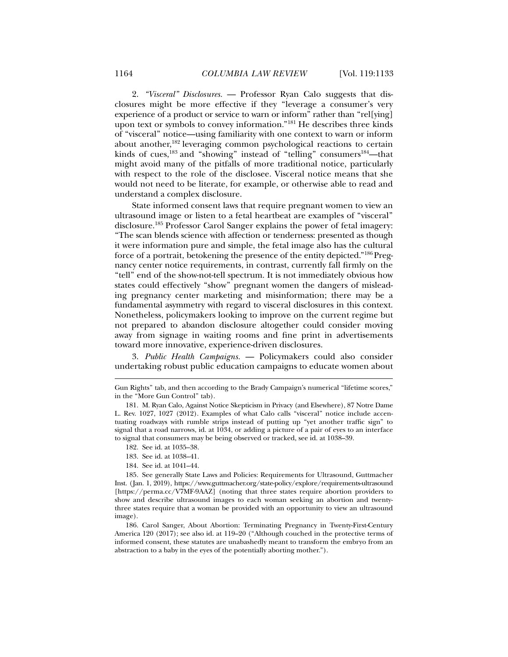2. *"Visceral" Disclosures.* — Professor Ryan Calo suggests that disclosures might be more effective if they "leverage a consumer's very experience of a product or service to warn or inform" rather than "rel[ying] upon text or symbols to convey information."181 He describes three kinds of "visceral" notice—using familiarity with one context to warn or inform about another,182 leveraging common psychological reactions to certain kinds of cues,<sup>183</sup> and "showing" instead of "telling" consumers<sup>184</sup>—that might avoid many of the pitfalls of more traditional notice, particularly with respect to the role of the disclosee. Visceral notice means that she would not need to be literate, for example, or otherwise able to read and understand a complex disclosure.

State informed consent laws that require pregnant women to view an ultrasound image or listen to a fetal heartbeat are examples of "visceral" disclosure.185 Professor Carol Sanger explains the power of fetal imagery: "The scan blends science with affection or tenderness: presented as though it were information pure and simple, the fetal image also has the cultural force of a portrait, betokening the presence of the entity depicted."186 Pregnancy center notice requirements, in contrast, currently fall firmly on the "tell" end of the show-not-tell spectrum. It is not immediately obvious how states could effectively "show" pregnant women the dangers of misleading pregnancy center marketing and misinformation; there may be a fundamental asymmetry with regard to visceral disclosures in this context. Nonetheless, policymakers looking to improve on the current regime but not prepared to abandon disclosure altogether could consider moving away from signage in waiting rooms and fine print in advertisements toward more innovative, experience-driven disclosures.

3. *Public Health Campaigns.* — Policymakers could also consider undertaking robust public education campaigns to educate women about

182. See id. at 1035–38.

l

- 183. See id. at 1038–41.
- 184. See id. at 1041–44.

 185. See generally State Laws and Policies: Requirements for Ultrasound, Guttmacher Inst. (Jan. 1, 2019), https://www.guttmacher.org/state-policy/explore/requirements-ultrasound [https://perma.cc/V7MF-9AAZ] (noting that three states require abortion providers to show and describe ultrasound images to each woman seeking an abortion and twentythree states require that a woman be provided with an opportunity to view an ultrasound image).

 186. Carol Sanger, About Abortion: Terminating Pregnancy in Twenty-First-Century America 120 (2017); see also id. at 119–20 ("Although couched in the protective terms of informed consent, these statutes are unabashedly meant to transform the embryo from an abstraction to a baby in the eyes of the potentially aborting mother.").

Gun Rights" tab, and then according to the Brady Campaign's numerical "lifetime scores," in the "More Gun Control" tab).

 <sup>181.</sup> M. Ryan Calo, Against Notice Skepticism in Privacy (and Elsewhere), 87 Notre Dame L. Rev. 1027, 1027 (2012). Examples of what Calo calls "visceral" notice include accentuating roadways with rumble strips instead of putting up "yet another traffic sign" to signal that a road narrows, id. at 1034, or adding a picture of a pair of eyes to an interface to signal that consumers may be being observed or tracked, see id. at 1038–39.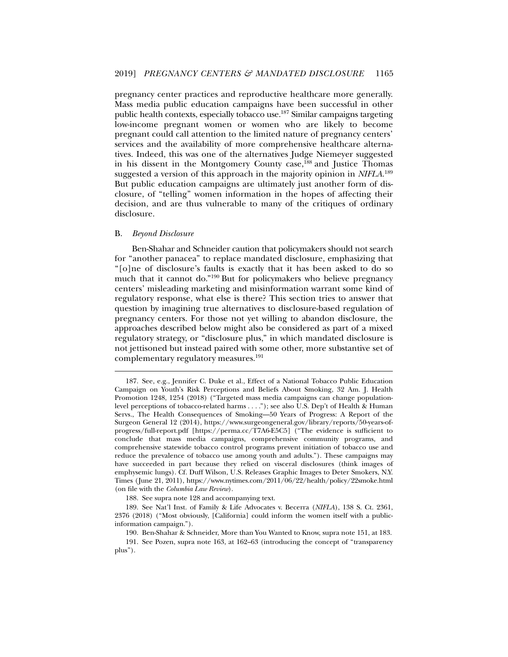pregnancy center practices and reproductive healthcare more generally. Mass media public education campaigns have been successful in other public health contexts, especially tobacco use.187 Similar campaigns targeting low-income pregnant women or women who are likely to become pregnant could call attention to the limited nature of pregnancy centers' services and the availability of more comprehensive healthcare alternatives. Indeed, this was one of the alternatives Judge Niemeyer suggested in his dissent in the Montgomery County case,<sup>188</sup> and Justice Thomas suggested a version of this approach in the majority opinion in *NIFLA*. 189 But public education campaigns are ultimately just another form of disclosure, of "telling" women information in the hopes of affecting their decision, and are thus vulnerable to many of the critiques of ordinary disclosure.

#### B. *Beyond Disclosure*

l

Ben-Shahar and Schneider caution that policymakers should not search for "another panacea" to replace mandated disclosure, emphasizing that "[o]ne of disclosure's faults is exactly that it has been asked to do so much that it cannot do."190 But for policymakers who believe pregnancy centers' misleading marketing and misinformation warrant some kind of regulatory response, what else is there? This section tries to answer that question by imagining true alternatives to disclosure-based regulation of pregnancy centers. For those not yet willing to abandon disclosure, the approaches described below might also be considered as part of a mixed regulatory strategy, or "disclosure plus," in which mandated disclosure is not jettisoned but instead paired with some other, more substantive set of complementary regulatory measures.<sup>191</sup>

188. See supra note 128 and accompanying text.

 <sup>187.</sup> See, e.g., Jennifer C. Duke et al., Effect of a National Tobacco Public Education Campaign on Youth's Risk Perceptions and Beliefs About Smoking, 32 Am. J. Health Promotion 1248, 1254 (2018) ("Targeted mass media campaigns can change populationlevel perceptions of tobacco-related harms . . . ."); see also U.S. Dep't of Health & Human Servs., The Health Consequences of Smoking—50 Years of Progress: A Report of the Surgeon General 12 (2014), https://www.surgeongeneral.gov/library/reports/50-years-ofprogress/full-report.pdf [https://perma.cc/T7A6-E5C5] ("The evidence is sufficient to conclude that mass media campaigns, comprehensive community programs, and comprehensive statewide tobacco control programs prevent initiation of tobacco use and reduce the prevalence of tobacco use among youth and adults."). These campaigns may have succeeded in part because they relied on visceral disclosures (think images of emphysemic lungs). Cf. Duff Wilson, U.S. Releases Graphic Images to Deter Smokers, N.Y. Times (June 21, 2011), https://www.nytimes.com/2011/06/22/health/policy/22smoke.html (on file with the *Columbia Law Review*).

 <sup>189.</sup> See Nat'l Inst. of Family & Life Advocates v. Becerra (*NIFLA*), 138 S. Ct. 2361, 2376 (2018) ("Most obviously, [California] could inform the women itself with a publicinformation campaign.").

 <sup>190.</sup> Ben-Shahar & Schneider, More than You Wanted to Know, supra note 151, at 183.

 <sup>191.</sup> See Pozen, supra note 163, at 162–63 (introducing the concept of "transparency plus").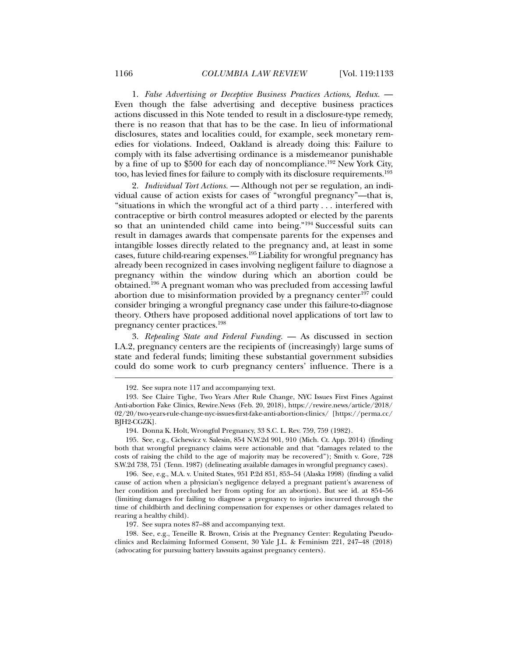1. *False Advertising or Deceptive Business Practices Actions, Redux.* — Even though the false advertising and deceptive business practices actions discussed in this Note tended to result in a disclosure-type remedy, there is no reason that that has to be the case. In lieu of informational disclosures, states and localities could, for example, seek monetary remedies for violations. Indeed, Oakland is already doing this: Failure to comply with its false advertising ordinance is a misdemeanor punishable by a fine of up to \$500 for each day of noncompliance.192 New York City, too, has levied fines for failure to comply with its disclosure requirements.193

2. *Individual Tort Actions.* — Although not per se regulation, an individual cause of action exists for cases of "wrongful pregnancy"—that is, "situations in which the wrongful act of a third party . . . interfered with contraceptive or birth control measures adopted or elected by the parents so that an unintended child came into being."<sup>194</sup> Successful suits can result in damages awards that compensate parents for the expenses and intangible losses directly related to the pregnancy and, at least in some cases, future child-rearing expenses.195 Liability for wrongful pregnancy has already been recognized in cases involving negligent failure to diagnose a pregnancy within the window during which an abortion could be obtained.196 A pregnant woman who was precluded from accessing lawful abortion due to misinformation provided by a pregnancy center<sup>197</sup> could consider bringing a wrongful pregnancy case under this failure-to-diagnose theory. Others have proposed additional novel applications of tort law to pregnancy center practices.198

3. *Repealing State and Federal Funding.* — As discussed in section I.A.2, pregnancy centers are the recipients of (increasingly) large sums of state and federal funds; limiting these substantial government subsidies could do some work to curb pregnancy centers' influence. There is a

 196. See, e.g., M.A. v. United States, 951 P.2d 851, 853–54 (Alaska 1998) (finding a valid cause of action when a physician's negligence delayed a pregnant patient's awareness of her condition and precluded her from opting for an abortion). But see id. at 854–56 (limiting damages for failing to diagnose a pregnancy to injuries incurred through the time of childbirth and declining compensation for expenses or other damages related to rearing a healthy child).

197. See supra notes 87–88 and accompanying text.

 198. See, e.g., Teneille R. Brown, Crisis at the Pregnancy Center: Regulating Pseudoclinics and Reclaiming Informed Consent, 30 Yale J.L. & Feminism 221, 247–48 (2018) (advocating for pursuing battery lawsuits against pregnancy centers).

 <sup>192.</sup> See supra note 117 and accompanying text.

 <sup>193.</sup> See Claire Tighe, Two Years After Rule Change, NYC Issues First Fines Against Anti-abortion Fake Clinics, Rewire.News (Feb. 20, 2018), https://rewire.news/article/2018/ 02/20/two-years-rule-change-nyc-issues-first-fake-anti-abortion-clinics/ [https://perma.cc/ BJH2-CGZK].

 <sup>194.</sup> Donna K. Holt, Wrongful Pregnancy, 33 S.C. L. Rev. 759, 759 (1982).

 <sup>195.</sup> See, e.g., Cichewicz v. Salesin, 854 N.W.2d 901, 910 (Mich. Ct. App. 2014) (finding both that wrongful pregnancy claims were actionable and that "damages related to the costs of raising the child to the age of majority may be recovered"); Smith v. Gore, 728 S.W.2d 738, 751 (Tenn. 1987) (delineating available damages in wrongful pregnancy cases).